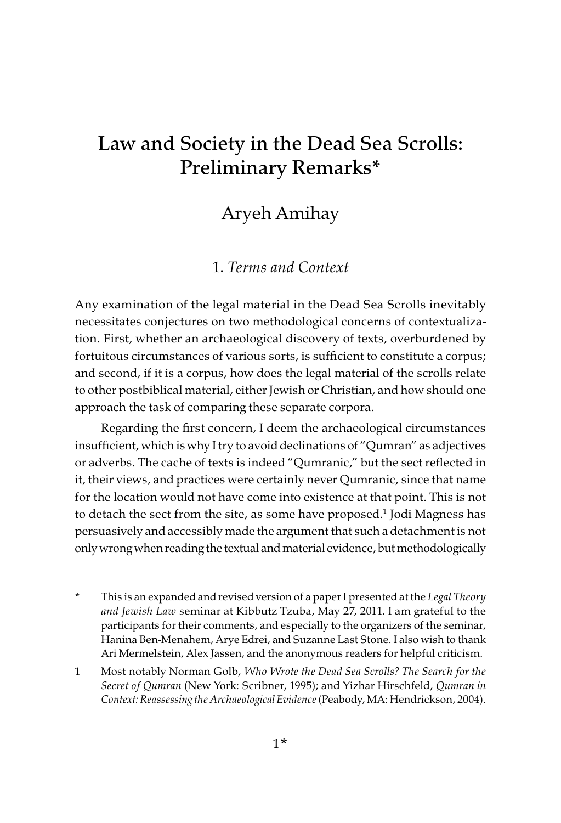# Law and Society in the Dead Sea Scrolls: Preliminary Remarks\*

## Aryeh Amihay

### 1. Terms and Context

Any examination of the legal material in the Dead Sea Scrolls inevitably necessitates conjectures on two methodological concerns of contextualization. First, whether an archaeological discovery of texts, overburdened by fortuitous circumstances of various sorts, is sufficient to constitute a corpus; and second, if it is a corpus, how does the legal material of the scrolls relate to other postbiblical material, either Jewish or Christian, and how should one approach the task of comparing these separate corpora.

Regarding the first concern, I deem the archaeological circumstances insufficient, which is why I try to avoid declinations of "Qumran" as adjectives or adverbs. The cache of texts is indeed "Qumranic," but the sect reflected in it, their views, and practices were certainly never Qumranic, since that name for the location would not have come into existence at that point. This is not to detach the sect from the site, as some have proposed.<sup>1</sup> Jodi Magness has persuasively and accessibly made the argument that such a detachment is not only wrong when reading the textual and material evidence, but methodologically

- This is an expanded and revised version of a paper I presented at the Legal Theory and Jewish Law seminar at Kibbutz Tzuba, May 27, 2011. I am grateful to the participants for their comments, and especially to the organizers of the seminar, Hanina Ben-Menahem, Arye Edrei, and Suzanne Last Stone. I also wish to thank Ari Mermelstein, Alex Jassen, and the anonymous readers for helpful criticism.
- 1 Most notably Norman Golb, Who Wrote the Dead Sea Scrolls? The Search for the Secret of Qumran (New York: Scribner, 1995); and Yizhar Hirschfeld, Qumran in Context: Reassessing the Archaeological Evidence (Peabody, MA: Hendrickson, 2004).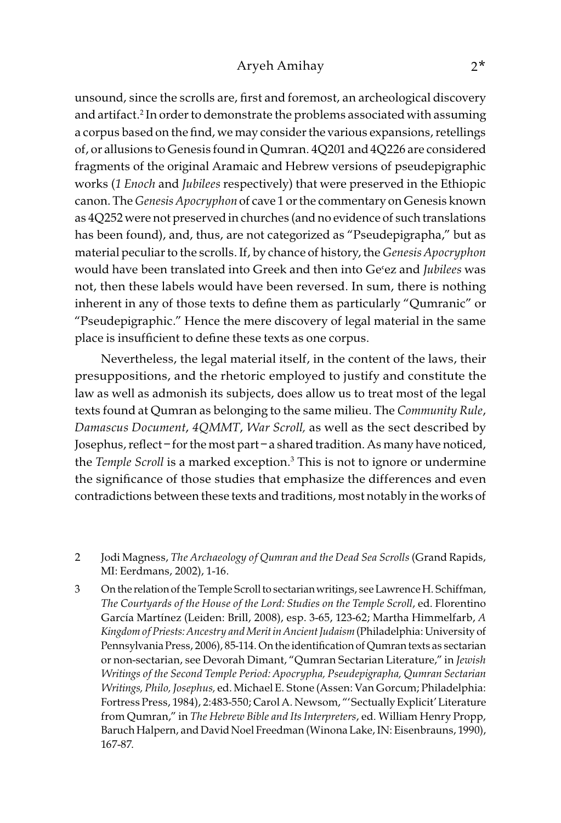### Aryeh Amihay 2\*

unsound, since the scrolls are, first and foremost, an archeological discovery and artifact.2 In order to demonstrate the problems associated with assuming a corpus based on the find, we may consider the various expansions, retellings of, or allusions to Genesis found in Qumran. 4Q201 and 4Q226 are considered fragments of the original Aramaic and Hebrew versions of pseudepigraphic works (1 Enoch and Jubilees respectively) that were preserved in the Ethiopic canon. The Genesis Apocryphon of cave 1 or the commentary on Genesis known as 4Q252 were not preserved in churches (and no evidence of such translations has been found), and, thus, are not categorized as "Pseudepigrapha," but as material peculiar to the scrolls. If, by chance of history, the Genesis Apocryphon would have been translated into Greek and then into Ge'ez and Jubilees was not, then these labels would have been reversed. In sum, there is nothing inherent in any of those texts to define them as particularly "Qumranic" or "Pseudepigraphic." Hence the mere discovery of legal material in the same place is insufficient to define these texts as one corpus.

Nevertheless, the legal material itself, in the content of the laws, their presuppositions, and the rhetoric employed to justify and constitute the law as well as admonish its subjects, does allow us to treat most of the legal texts found at Qumran as belonging to the same milieu. The Community Rule, Damascus Document, 4QMMT, War Scroll, as well as the sect described by Josephus, reflect – for the most part – a shared tradition. As many have noticed, the *Temple Scroll* is a marked exception.<sup>3</sup> This is not to ignore or undermine the significance of those studies that emphasize the differences and even contradictions between these texts and traditions, most notably in the works of

- 2 Jodi Magness, The Archaeology of Qumran and the Dead Sea Scrolls (Grand Rapids, MI: Eerdmans, 2002), 1-16.
- 3 On the relation of the Temple Scroll to sectarian writings, see Lawrence H. Schiffman, The Courtyards of the House of the Lord: Studies on the Temple Scroll, ed. Florentino García Martínez (Leiden: Brill, 2008), esp. 3-65, 123-62; Martha Himmelfarb, A Kingdom of Priests: Ancestry and Merit in Ancient Judaism (Philadelphia: University of Pennsylvania Press, 2006), 85-114. On the identification of Qumran texts as sectarian or non-sectarian, see Devorah Dimant, "Qumran Sectarian Literature," in Jewish Writings of the Second Temple Period: Apocrypha, Pseudepigrapha, Qumran Sectarian Writings, Philo, Josephus, ed. Michael E. Stone (Assen: Van Gorcum; Philadelphia: Fortress Press, 1984), 2:483-550; Carol A. Newsom, "'Sectually Explicit' Literature from Qumran," in The Hebrew Bible and Its Interpreters, ed. William Henry Propp, Baruch Halpern, and David Noel Freedman (Winona Lake, IN: Eisenbrauns, 1990), 167-87.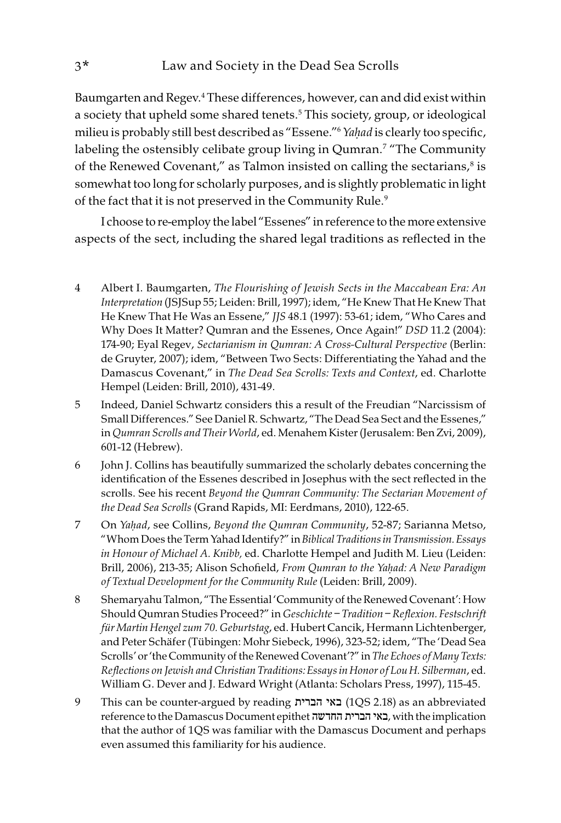Baumgarten and Regev.<sup>4</sup> These differences, however, can and did exist within a society that upheld some shared tenets.5 This society, group, or ideological milieu is probably still best described as "Essene."6 Ya*ḥ*ad is clearly too specific, labeling the ostensibly celibate group living in Qumran.7 "The Community of the Renewed Covenant," as Talmon insisted on calling the sectarians, $^8$  is somewhat too long for scholarly purposes, and is slightly problematic in light of the fact that it is not preserved in the Community Rule.<sup>9</sup>

I choose to re-employ the label "Essenes" in reference to the more extensive aspects of the sect, including the shared legal traditions as reflected in the

- 4 Albert I. Baumgarten, The Flourishing of Jewish Sects in the Maccabean Era: An Interpretation (JSJSup 55; Leiden: Brill, 1997); idem, "He Knew That He Knew That He Knew That He Was an Essene," JJS 48.1 (1997): 53-61; idem, "Who Cares and Why Does It Matter? Qumran and the Essenes, Once Again!" DSD 11.2 (2004): 174-90; Eyal Regev, Sectarianism in Qumran: A Cross-Cultural Perspective (Berlin: de Gruyter, 2007); idem, "Between Two Sects: Differentiating the Yahad and the Damascus Covenant," in The Dead Sea Scrolls: Texts and Context, ed. Charlotte Hempel (Leiden: Brill, 2010), 431-49.
- 5 Indeed, Daniel Schwartz considers this a result of the Freudian "Narcissism of Small Differences." See Daniel R. Schwartz, "The Dead Sea Sect and the Essenes," in Qumran Scrolls and Their World, ed. Menahem Kister (Jerusalem: Ben Zvi, 2009), 601-12 (Hebrew).
- 6 John J. Collins has beautifully summarized the scholarly debates concerning the identification of the Essenes described in Josephus with the sect reflected in the scrolls. See his recent Beyond the Qumran Community: The Sectarian Movement of the Dead Sea Scrolls (Grand Rapids, MI: Eerdmans, 2010), 122-65.
- 7 On Ya*ḥ*ad, see Collins, Beyond the Qumran Community, 52-87; Sarianna Metso, "Whom Does the Term Yahad Identify?" in Biblical Traditions in Transmission. Essays in Honour of Michael A. Knibb, ed. Charlotte Hempel and Judith M. Lieu (Leiden: Brill, 2006), 213-35; Alison Schofield, From Qumran to the Ya*ḥ*ad: A New Paradigm of Textual Development for the Community Rule (Leiden: Brill, 2009).
- 8 Shemaryahu Talmon, "The Essential 'Community of the Renewed Covenant': How Should Qumran Studies Proceed?" in Geschichte – Tradition – Reflexion. Festschrift für Martin Hengel zum 70. Geburtstag, ed. Hubert Cancik, Hermann Lichtenberger, and Peter Schäfer (Tübingen: Mohr Siebeck, 1996), 323-52; idem, "The 'Dead Sea Scrolls' or 'the Community of the Renewed Covenant'?" in The Echoes of Many Texts: Reflections on Jewish and Christian Traditions: Essays in Honor of Lou H. Silberman, ed. William G. Dever and J. Edward Wright (Atlanta: Scholars Press, 1997), 115-45.
- 9 This can be counter-argued by reading הברית באי) 1QS 2.18) as an abbreviated reference to the Damascus Document epithet החדשה הברית באי, with the implication that the author of 1QS was familiar with the Damascus Document and perhaps even assumed this familiarity for his audience.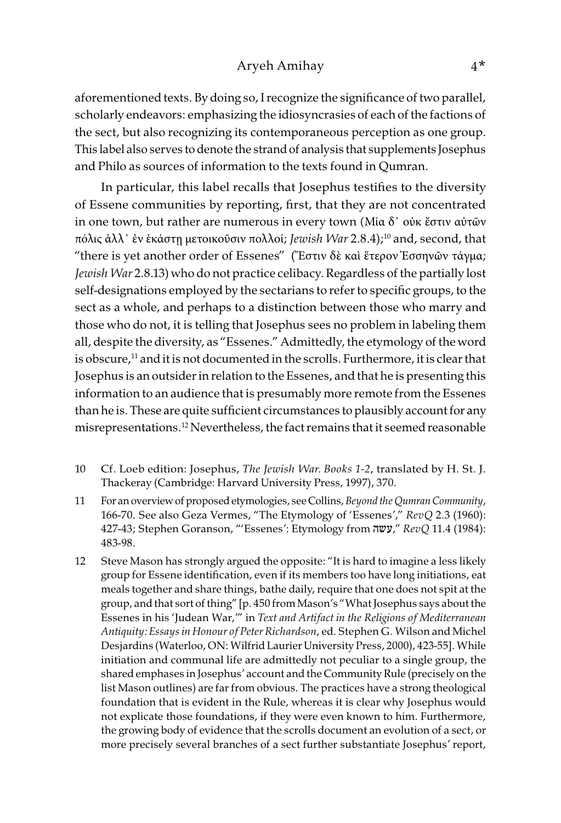#### Aryeh Amihay 4\*

aforementioned texts. By doing so, I recognize the significance of two parallel, scholarly endeavors: emphasizing the idiosyncrasies of each of the factions of the sect, but also recognizing its contemporaneous perception as one group. This label also serves to denote the strand of analysis that supplements Josephus and Philo as sources of information to the texts found in Qumran.

In particular, this label recalls that Josephus testifies to the diversity of Essene communities by reporting, first, that they are not concentrated in one town, but rather are numerous in every town (Μία δ᾽ οὐκ ἔστιν αὐτῶν πόλις ἀλλ᾽ ἐν ἑκάστῃ μετοικοῦσιν πολλοί; Jewish War 2.8.4);<sup>10</sup> and, second, that "there is yet another order of Essenes" ("Εστιν δὲ καὶ ἕτερον Ἐσσηνῶν τάγμα; Jewish War 2.8.13) who do not practice celibacy. Regardless of the partially lost self-designations employed by the sectarians to refer to specific groups, to the sect as a whole, and perhaps to a distinction between those who marry and those who do not, it is telling that Josephus sees no problem in labeling them all, despite the diversity, as "Essenes." Admittedly, the etymology of the word is obscure,<sup>11</sup> and it is not documented in the scrolls. Furthermore, it is clear that Josephus is an outsider in relation to the Essenes, and that he is presenting this information to an audience that is presumably more remote from the Essenes than he is. These are quite sufficient circumstances to plausibly account for any misrepresentations.12 Nevertheless, the fact remains that it seemed reasonable

- 10 Cf. Loeb edition: Josephus, The Jewish War. Books 1-2, translated by H. St. J. Thackeray (Cambridge: Harvard University Press, 1997), 370.
- 11 For an overview of proposed etymologies, see Collins, Beyond the Qumran Community, 166-70. See also Geza Vermes, "The Etymology of 'Essenes'," RevQ 2.3 (1960): 427-43; Stephen Goranson, "'Essenes': Etymology from "עשה, "RevQ 11.4 (1984): 483-98.
- 12 Steve Mason has strongly argued the opposite: "It is hard to imagine a less likely group for Essene identification, even if its members too have long initiations, eat meals together and share things, bathe daily, require that one does not spit at the group, and that sort of thing" [p. 450 from Mason's "What Josephus says about the Essenes in his 'Judean War,'" in Text and Artifact in the Religions of Mediterranean Antiquity: Essays in Honour of Peter Richardson, ed. Stephen G. Wilson and Michel Desjardins (Waterloo, ON: Wilfrid Laurier University Press, 2000), 423-55]. While initiation and communal life are admittedly not peculiar to a single group, the shared emphases in Josephus' account and the Community Rule (precisely on the list Mason outlines) are far from obvious. The practices have a strong theological foundation that is evident in the Rule, whereas it is clear why Josephus would not explicate those foundations, if they were even known to him. Furthermore, the growing body of evidence that the scrolls document an evolution of a sect, or more precisely several branches of a sect further substantiate Josephus' report,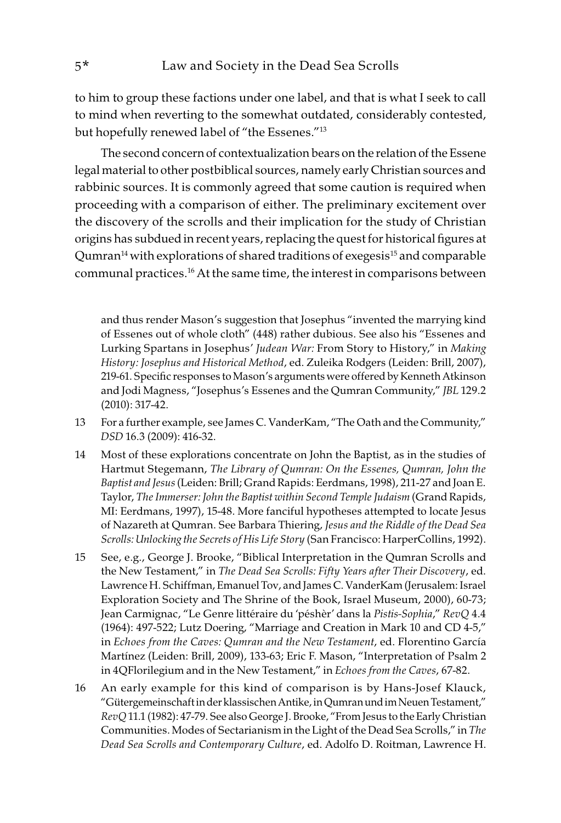to him to group these factions under one label, and that is what I seek to call to mind when reverting to the somewhat outdated, considerably contested, but hopefully renewed label of "the Essenes."13

The second concern of contextualization bears on the relation of the Essene legal material to other postbiblical sources, namely early Christian sources and rabbinic sources. It is commonly agreed that some caution is required when proceeding with a comparison of either. The preliminary excitement over the discovery of the scrolls and their implication for the study of Christian origins has subdued in recent years, replacing the quest for historical figures at  $Q$ umran<sup>14</sup> with explorations of shared traditions of exegesis<sup>15</sup> and comparable communal practices.16 At the same time, the interest in comparisons between

and thus render Mason's suggestion that Josephus "invented the marrying kind of Essenes out of whole cloth" (448) rather dubious. See also his "Essenes and Lurking Spartans in Josephus' Judean War: From Story to History," in Making History: Josephus and Historical Method, ed. Zuleika Rodgers (Leiden: Brill, 2007), 219-61. Specific responses to Mason's arguments were offered by Kenneth Atkinson and Jodi Magness, "Josephus's Essenes and the Qumran Community," JBL 129.2 (2010): 317-42.

- 13 For a further example, see James C. VanderKam, "The Oath and the Community," DSD 16.3 (2009): 416-32.
- 14 Most of these explorations concentrate on John the Baptist, as in the studies of Hartmut Stegemann, The Library of Qumran: On the Essenes, Qumran, John the Baptist and Jesus (Leiden: Brill; Grand Rapids: Eerdmans, 1998), 211-27 and Joan E. Taylor, The Immerser: John the Baptist within Second Temple Judaism (Grand Rapids, MI: Eerdmans, 1997), 15-48. More fanciful hypotheses attempted to locate Jesus of Nazareth at Qumran. See Barbara Thiering, Jesus and the Riddle of the Dead Sea Scrolls: Unlocking the Secrets of His Life Story (San Francisco: HarperCollins, 1992).
- 15 See, e.g., George J. Brooke, "Biblical Interpretation in the Qumran Scrolls and the New Testament," in The Dead Sea Scrolls: Fifty Years after Their Discovery, ed. Lawrence H. Schiffman, Emanuel Tov, and James C. VanderKam (Jerusalem: Israel Exploration Society and The Shrine of the Book, Israel Museum, 2000), 60-73; Jean Carmignac, "Le Genre littéraire du 'péshèr' dans la Pistis-Sophia," RevQ 4.4 (1964): 497-522; Lutz Doering, "Marriage and Creation in Mark 10 and CD 4-5," in Echoes from the Caves: Qumran and the New Testament, ed. Florentino García Martínez (Leiden: Brill, 2009), 133-63; Eric F. Mason, "Interpretation of Psalm 2 in 4QFlorilegium and in the New Testament," in Echoes from the Caves, 67-82.
- 16 An early example for this kind of comparison is by Hans-Josef Klauck, "Gütergemeinschaft in der klassischen Antike, in Qumran und im Neuen Testament," RevQ 11.1 (1982): 47-79. See also George J. Brooke, "From Jesus to the Early Christian Communities. Modes of Sectarianism in the Light of the Dead Sea Scrolls," in The Dead Sea Scrolls and Contemporary Culture, ed. Adolfo D. Roitman, Lawrence H.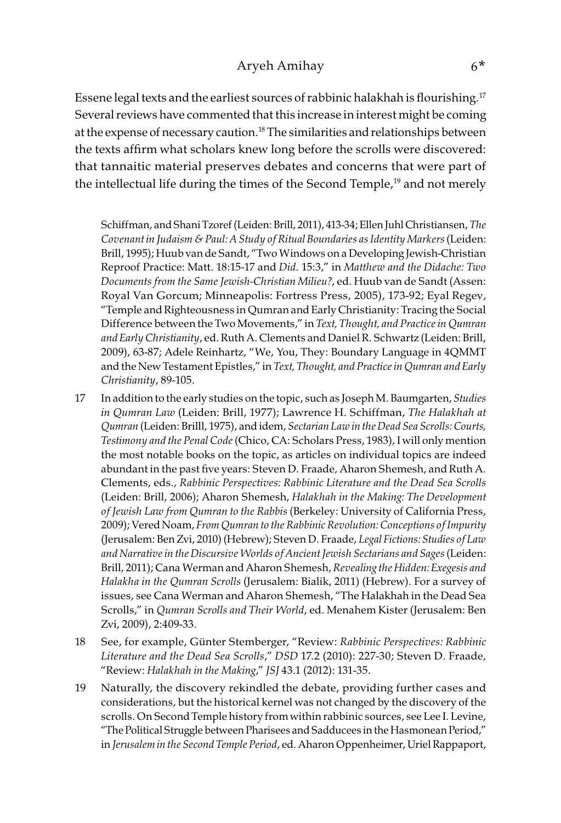### Aryeh Amihay 6\*

Essene legal texts and the earliest sources of rabbinic halakhah is flourishing.<sup>17</sup> Several reviews have commented that this increase in interest might be coming at the expense of necessary caution.18 The similarities and relationships between the texts affirm what scholars knew long before the scrolls were discovered: that tannaitic material preserves debates and concerns that were part of the intellectual life during the times of the Second Temple,<sup>19</sup> and not merely

Schiffman, and Shani Tzoref (Leiden: Brill, 2011), 413-34; Ellen Juhl Christiansen, The Covenant in Judaism & Paul: A Study of Ritual Boundaries as Identity Markers (Leiden: Brill, 1995); Huub van de Sandt, "Two Windows on a Developing Jewish-Christian Reproof Practice: Matt. 18:15-17 and Did. 15:3," in Matthew and the Didache: Two Documents from the Same Jewish-Christian Milieu?, ed. Huub van de Sandt (Assen: Royal Van Gorcum; Minneapolis: Fortress Press, 2005), 173-92; Eyal Regev, "Temple and Righteousness in Qumran and Early Christianity: Tracing the Social Difference between the Two Movements," in Text, Thought, and Practice in Qumran and Early Christianity, ed. Ruth A. Clements and Daniel R. Schwartz (Leiden: Brill, 2009), 63-87; Adele Reinhartz, "We, You, They: Boundary Language in 4QMMT and the New Testament Epistles," in Text, Thought, and Practice in Qumran and Early Christianity, 89-105.

- 17 In addition to the early studies on the topic, such as Joseph M. Baumgarten, Studies in Qumran Law (Leiden: Brill, 1977); Lawrence H. Schiffman, The Halakhah at Qumran (Leiden: Brilll, 1975), and idem, Sectarian Law in the Dead Sea Scrolls: Courts, Testimony and the Penal Code (Chico, CA: Scholars Press, 1983), I will only mention the most notable books on the topic, as articles on individual topics are indeed abundant in the past five years: Steven D. Fraade, Aharon Shemesh, and Ruth A. Clements, eds., Rabbinic Perspectives: Rabbinic Literature and the Dead Sea Scrolls (Leiden: Brill, 2006); Aharon Shemesh, Halakhah in the Making: The Development of Jewish Law from Qumran to the Rabbis (Berkeley: University of California Press, 2009); Vered Noam, From Qumran to the Rabbinic Revolution: Conceptions of Impurity (Jerusalem: Ben Zvi, 2010) (Hebrew); Steven D. Fraade, Legal Fictions: Studies of Law and Narrative in the Discursive Worlds of Ancient Jewish Sectarians and Sages (Leiden: Brill, 2011); Cana Werman and Aharon Shemesh, Revealing the Hidden: Exegesis and Halakha in the Qumran Scrolls (Jerusalem: Bialik, 2011) (Hebrew). For a survey of issues, see Cana Werman and Aharon Shemesh, "The Halakhah in the Dead Sea Scrolls," in Qumran Scrolls and Their World, ed. Menahem Kister (Jerusalem: Ben Zvi, 2009), 2:409-33.
- 18 See, for example, Günter Stemberger, "Review: Rabbinic Perspectives: Rabbinic Literature and the Dead Sea Scrolls," DSD 17.2 (2010): 227-30; Steven D. Fraade, "Review: Halakhah in the Making," JSJ 43.1 (2012): 131-35.
- 19 Naturally, the discovery rekindled the debate, providing further cases and considerations, but the historical kernel was not changed by the discovery of the scrolls. On Second Temple history from within rabbinic sources, see Lee I. Levine, "The Political Struggle between Pharisees and Sadducees in the Hasmonean Period," in Jerusalem in the Second Temple Period, ed. Aharon Oppenheimer, Uriel Rappaport,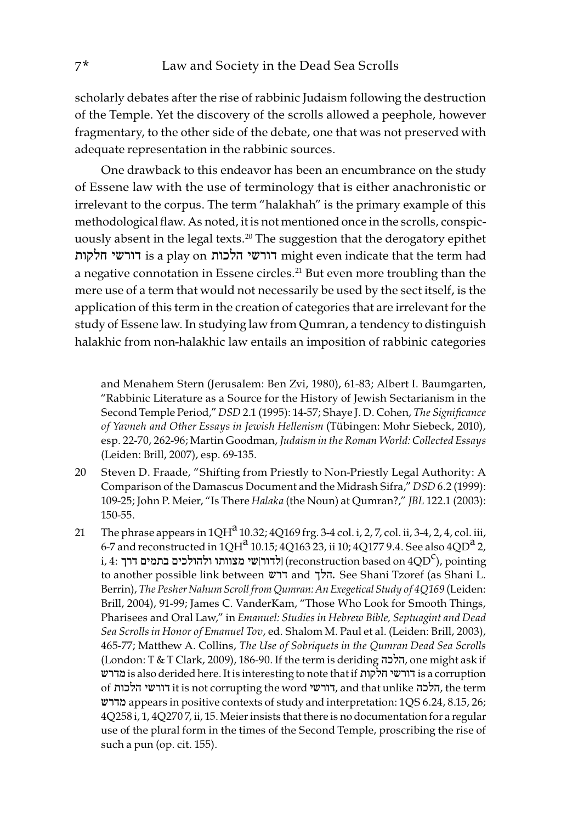scholarly debates after the rise of rabbinic Judaism following the destruction of the Temple. Yet the discovery of the scrolls allowed a peephole, however fragmentary, to the other side of the debate, one that was not preserved with adequate representation in the rabbinic sources.

One drawback to this endeavor has been an encumbrance on the study of Essene law with the use of terminology that is either anachronistic or irrelevant to the corpus. The term "halakhah" is the primary example of this methodological flaw. As noted, it is not mentioned once in the scrolls, conspicuously absent in the legal texts.<sup>20</sup> The suggestion that the derogatory epithet חלקות דורשי is a play on הלכות דורשי might even indicate that the term had a negative connotation in Essene circles.<sup>21</sup> But even more troubling than the mere use of a term that would not necessarily be used by the sect itself, is the application of this term in the creation of categories that are irrelevant for the study of Essene law. In studying law from Qumran, a tendency to distinguish halakhic from non-halakhic law entails an imposition of rabbinic categories

and Menahem Stern (Jerusalem: Ben Zvi, 1980), 61-83; Albert I. Baumgarten, "Rabbinic Literature as a Source for the History of Jewish Sectarianism in the Second Temple Period," DSD 2.1 (1995): 14-57; Shaye J. D. Cohen, The Significance of Yavneh and Other Essays in Jewish Hellenism (Tübingen: Mohr Siebeck, 2010), esp. 22-70, 262-96; Martin Goodman, Judaism in the Roman World: Collected Essays (Leiden: Brill, 2007), esp. 69-135.

- 20 Steven D. Fraade, "Shifting from Priestly to Non-Priestly Legal Authority: A Comparison of the Damascus Document and the Midrash Sifra," DSD 6.2 (1999): 109-25; John P. Meier, "Is There Halaka (the Noun) at Qumran?," JBL 122.1 (2003): 150-55.
- 21 The phrase appears in  $1QH^a 10.32$ ;  $4Q169$  frg. 3-4 col. i, 2, 7, col. ii, 3-4, 2, 4, col. iii, 6-7 and reconstructed in  $1QH^a 10.15$ ;  $4Q163 23$ , ii 10;  $4Q177 9.4$ . See also  $4QD^a 2$ , i, 4: לדור|שי מצוותו ולהולכים בתמים דרך (reconstruction based on  $4 \text{QD}^\text{C}$ ), pointing to another possible link between דרש and הלך. See Shani Tzoref (as Shani L. Berrin), The Pesher Nahum Scroll from Qumran: An Exegetical Study of 4Q169 (Leiden: Brill, 2004), 91-99; James C. VanderKam, "Those Who Look for Smooth Things, Pharisees and Oral Law," in Emanuel: Studies in Hebrew Bible, Septuagint and Dead Sea Scrolls in Honor of Emanuel Tov, ed. Shalom M. Paul et al. (Leiden: Brill, 2003), 465-77; Matthew A. Collins, The Use of Sobriquets in the Qumran Dead Sea Scrolls (London: T & T Clark, 2009), 186-90. If the term is deriding הלכה, one might ask if מדרש is also derided here. It is interesting to note that if חלקות דורשי is a corruption of הלכות דורשי it is not corrupting the word דורשי, and that unlike הלכה, the term מדרש appears in positive contexts of study and interpretation: 1QS 6.24, 8.15, 26; 4Q258 i, 1, 4Q270 7, ii, 15. Meier insists that there is no documentation for a regular use of the plural form in the times of the Second Temple, proscribing the rise of such a pun (op. cit. 155).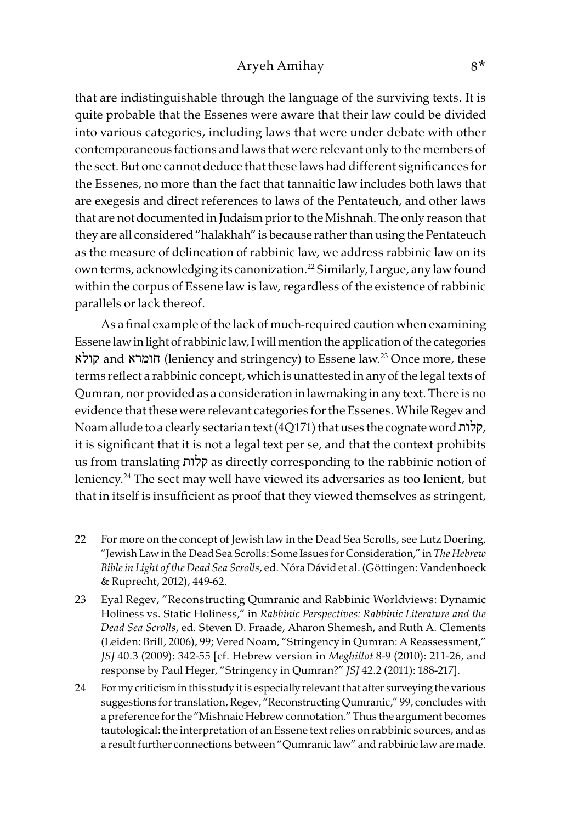that are indistinguishable through the language of the surviving texts. It is quite probable that the Essenes were aware that their law could be divided into various categories, including laws that were under debate with other contemporaneous factions and laws that were relevant only to the members of the sect. But one cannot deduce that these laws had different significances for the Essenes, no more than the fact that tannaitic law includes both laws that are exegesis and direct references to laws of the Pentateuch, and other laws that are not documented in Judaism prior to the Mishnah. The only reason that they are all considered "halakhah" is because rather than using the Pentateuch as the measure of delineation of rabbinic law, we address rabbinic law on its own terms, acknowledging its canonization.22 Similarly, I argue, any law found within the corpus of Essene law is law, regardless of the existence of rabbinic parallels or lack thereof.

As a final example of the lack of much-required caution when examining Essene law in light of rabbinic law, I will mention the application of the categories קולא and חומרא) leniency and stringency) to Essene law.23 Once more, these terms reflect a rabbinic concept, which is unattested in any of the legal texts of Qumran, nor provided as a consideration in lawmaking in any text. There is no evidence that these were relevant categories for the Essenes. While Regev and Noam allude to a clearly sectarian text (4Q171) that uses the cognate word קלות, it is significant that it is not a legal text per se, and that the context prohibits us from translating קלות as directly corresponding to the rabbinic notion of leniency.24 The sect may well have viewed its adversaries as too lenient, but that in itself is insufficient as proof that they viewed themselves as stringent,

- 22 For more on the concept of Jewish law in the Dead Sea Scrolls, see Lutz Doering, "Jewish Law in the Dead Sea Scrolls: Some Issues for Consideration," in The Hebrew Bible in Light of the Dead Sea Scrolls, ed. Nóra Dávid et al. (Göttingen: Vandenhoeck & Ruprecht, 2012), 449-62.
- 23 Eyal Regev, "Reconstructing Qumranic and Rabbinic Worldviews: Dynamic Holiness vs. Static Holiness," in Rabbinic Perspectives: Rabbinic Literature and the Dead Sea Scrolls, ed. Steven D. Fraade, Aharon Shemesh, and Ruth A. Clements (Leiden: Brill, 2006), 99; Vered Noam, "Stringency in Qumran: A Reassessment," JSJ 40.3 (2009): 342-55 [cf. Hebrew version in Meghillot 8-9 (2010): 211-26, and response by Paul Heger, "Stringency in Qumran?" JSJ 42.2 (2011): 188-217].
- 24 For my criticism in this study it is especially relevant that after surveying the various suggestions for translation, Regev, "Reconstructing Qumranic," 99, concludes with a preference for the "Mishnaic Hebrew connotation." Thus the argument becomes tautological: the interpretation of an Essene text relies on rabbinic sources, and as a result further connections between "Qumranic law" and rabbinic law are made.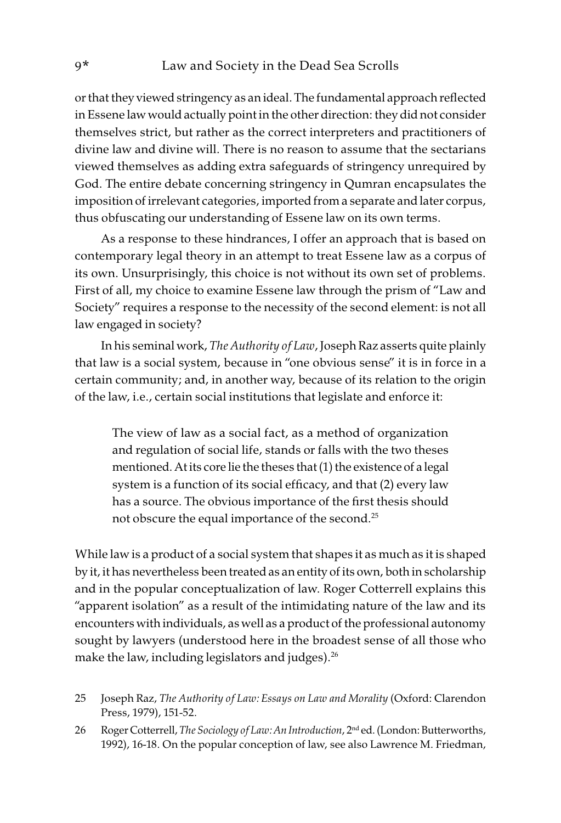or that they viewed stringency as an ideal. The fundamental approach reflected in Essene law would actually point in the other direction: they did not consider themselves strict, but rather as the correct interpreters and practitioners of divine law and divine will. There is no reason to assume that the sectarians viewed themselves as adding extra safeguards of stringency unrequired by God. The entire debate concerning stringency in Qumran encapsulates the imposition of irrelevant categories, imported from a separate and later corpus, thus obfuscating our understanding of Essene law on its own terms.

As a response to these hindrances, I offer an approach that is based on contemporary legal theory in an attempt to treat Essene law as a corpus of its own. Unsurprisingly, this choice is not without its own set of problems. First of all, my choice to examine Essene law through the prism of "Law and Society" requires a response to the necessity of the second element: is not all law engaged in society?

In his seminal work, The Authority of Law, Joseph Raz asserts quite plainly that law is a social system, because in "one obvious sense" it is in force in a certain community; and, in another way, because of its relation to the origin of the law, i.e., certain social institutions that legislate and enforce it:

The view of law as a social fact, as a method of organization and regulation of social life, stands or falls with the two theses mentioned. At its core lie the theses that (1) the existence of a legal system is a function of its social efficacy, and that (2) every law has a source. The obvious importance of the first thesis should not obscure the equal importance of the second.25

While law is a product of a social system that shapes it as much as it is shaped by it, it has nevertheless been treated as an entity of its own, both in scholarship and in the popular conceptualization of law. Roger Cotterrell explains this "apparent isolation" as a result of the intimidating nature of the law and its encounters with individuals, as well as a product of the professional autonomy sought by lawyers (understood here in the broadest sense of all those who make the law, including legislators and judges). $^{26}$ 

- 25 Joseph Raz, The Authority of Law: Essays on Law and Morality (Oxford: Clarendon Press, 1979), 151-52.
- 26 Roger Cotterrell, The Sociology of Law: An Introduction, 2<sup>nd</sup> ed. (London: Butterworths, 1992), 16-18. On the popular conception of law, see also Lawrence M. Friedman,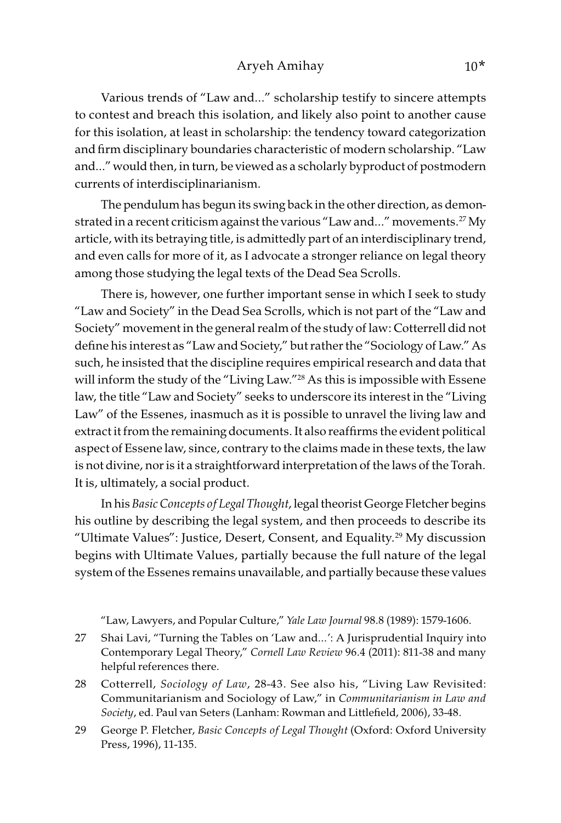Various trends of "Law and…" scholarship testify to sincere attempts to contest and breach this isolation, and likely also point to another cause for this isolation, at least in scholarship: the tendency toward categorization and firm disciplinary boundaries characteristic of modern scholarship. "Law and…" would then, in turn, be viewed as a scholarly byproduct of postmodern currents of interdisciplinarianism.

The pendulum has begun its swing back in the other direction, as demonstrated in a recent criticism against the various "Law and..." movements.<sup>27</sup> My article, with its betraying title, is admittedly part of an interdisciplinary trend, and even calls for more of it, as I advocate a stronger reliance on legal theory among those studying the legal texts of the Dead Sea Scrolls.

There is, however, one further important sense in which I seek to study "Law and Society" in the Dead Sea Scrolls, which is not part of the "Law and Society" movement in the general realm of the study of law: Cotterrell did not define his interest as "Law and Society," but rather the "Sociology of Law." As such, he insisted that the discipline requires empirical research and data that will inform the study of the "Living Law."<sup>28</sup> As this is impossible with Essene law, the title "Law and Society" seeks to underscore its interest in the "Living Law" of the Essenes, inasmuch as it is possible to unravel the living law and extract it from the remaining documents. It also reaffirms the evident political aspect of Essene law, since, contrary to the claims made in these texts, the law is not divine, nor is it a straightforward interpretation of the laws of the Torah. It is, ultimately, a social product.

In his Basic Concepts of Legal Thought, legal theorist George Fletcher begins his outline by describing the legal system, and then proceeds to describe its "Ultimate Values": Justice, Desert, Consent, and Equality.29 My discussion begins with Ultimate Values, partially because the full nature of the legal system of the Essenes remains unavailable, and partially because these values

"Law, Lawyers, and Popular Culture," Yale Law Journal 98.8 (1989): 1579-1606.

- 27 Shai Lavi, "Turning the Tables on 'Law and…': A Jurisprudential Inquiry into Contemporary Legal Theory," Cornell Law Review 96.4 (2011): 811-38 and many helpful references there.
- 28 Cotterrell, Sociology of Law, 28-43. See also his, "Living Law Revisited: Communitarianism and Sociology of Law," in Communitarianism in Law and Society, ed. Paul van Seters (Lanham: Rowman and Littlefield, 2006), 33-48.
- 29 George P. Fletcher, Basic Concepts of Legal Thought (Oxford: Oxford University Press, 1996), 11-135.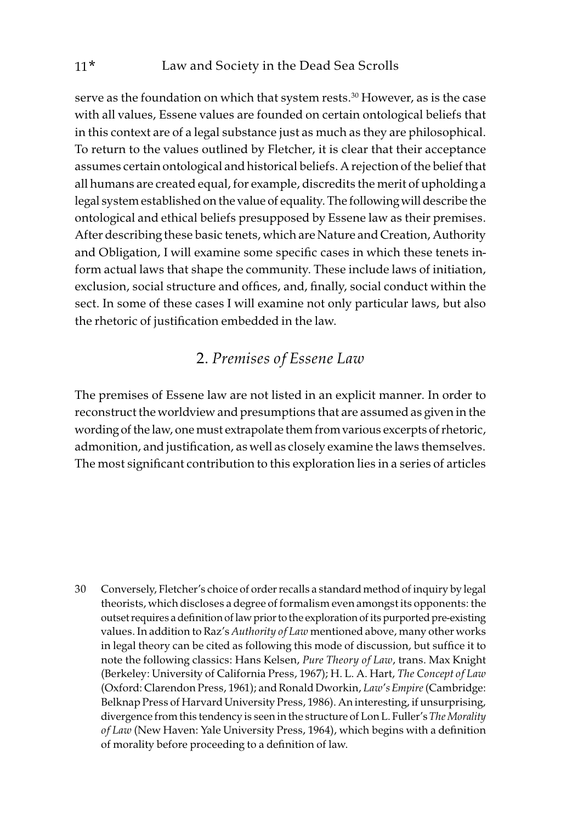serve as the foundation on which that system rests.<sup>30</sup> However, as is the case with all values, Essene values are founded on certain ontological beliefs that in this context are of a legal substance just as much as they are philosophical. To return to the values outlined by Fletcher, it is clear that their acceptance assumes certain ontological and historical beliefs. A rejection of the belief that all humans are created equal, for example, discredits the merit of upholding a legal system established on the value of equality. The following will describe the ontological and ethical beliefs presupposed by Essene law as their premises. After describing these basic tenets, which are Nature and Creation, Authority and Obligation, I will examine some specific cases in which these tenets inform actual laws that shape the community. These include laws of initiation, exclusion, social structure and offices, and, finally, social conduct within the sect. In some of these cases I will examine not only particular laws, but also the rhetoric of justification embedded in the law.

### 2. Premises of Essene Law

The premises of Essene law are not listed in an explicit manner. In order to reconstruct the worldview and presumptions that are assumed as given in the wording of the law, one must extrapolate them from various excerpts of rhetoric, admonition, and justification, as well as closely examine the laws themselves. The most significant contribution to this exploration lies in a series of articles

30 Conversely, Fletcher's choice of order recalls a standard method of inquiry by legal theorists, which discloses a degree of formalism even amongst its opponents: the outset requires a definition of law prior to the exploration of its purported pre-existing values. In addition to Raz's Authority of Law mentioned above, many other works in legal theory can be cited as following this mode of discussion, but suffice it to note the following classics: Hans Kelsen, Pure Theory of Law, trans. Max Knight (Berkeley: University of California Press, 1967); H. L. A. Hart, The Concept of Law (Oxford: Clarendon Press, 1961); and Ronald Dworkin, Law's Empire (Cambridge: Belknap Press of Harvard University Press, 1986). An interesting, if unsurprising, divergence from this tendency is seen in the structure of Lon L. Fuller's The Morality of Law (New Haven: Yale University Press, 1964), which begins with a definition of morality before proceeding to a definition of law.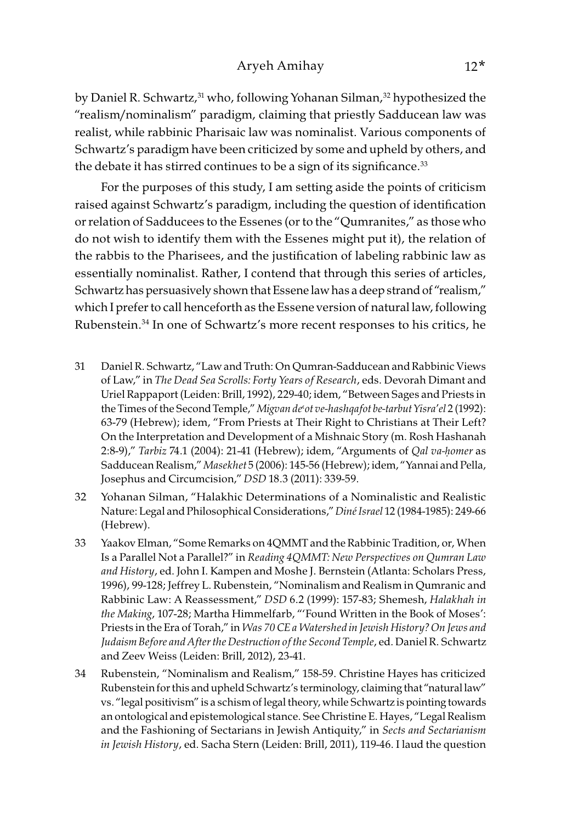#### Aryeh Amihay 12\*

by Daniel R. Schwartz,<sup>31</sup> who, following Yohanan Silman,<sup>32</sup> hypothesized the "realism/nominalism" paradigm, claiming that priestly Sadducean law was realist, while rabbinic Pharisaic law was nominalist. Various components of Schwartz's paradigm have been criticized by some and upheld by others, and the debate it has stirred continues to be a sign of its significance.<sup>33</sup>

For the purposes of this study, I am setting aside the points of criticism raised against Schwartz's paradigm, including the question of identification or relation of Sadducees to the Essenes (or to the "Qumranites," as those who do not wish to identify them with the Essenes might put it), the relation of the rabbis to the Pharisees, and the justification of labeling rabbinic law as essentially nominalist. Rather, I contend that through this series of articles, Schwartz has persuasively shown that Essene law has a deep strand of "realism," which I prefer to call henceforth as the Essene version of natural law, following Rubenstein.34 In one of Schwartz's more recent responses to his critics, he

- 31 Daniel R. Schwartz, "Law and Truth: On Qumran-Sadducean and Rabbinic Views of Law," in The Dead Sea Scrolls: Forty Years of Research, eds. Devorah Dimant and Uriel Rappaport (Leiden: Brill, 1992), 229-40; idem, "Between Sages and Priests in the Times of the Second Temple," Migvan de' ot ve-hashqafot be-tarbut Yisra' el 2 (1992): 63-79 (Hebrew); idem, "From Priests at Their Right to Christians at Their Left? On the Interpretation and Development of a Mishnaic Story (m. Rosh Hashanah 2:8-9)," Tarbiz 74.1 (2004): 21-41 (Hebrew); idem, "Arguments of Qal va-*ḥ*omer as Sadducean Realism," Masekhet 5 (2006): 145-56 (Hebrew); idem, "Yannai and Pella, Josephus and Circumcision," DSD 18.3 (2011): 339-59.
- 32 Yohanan Silman, "Halakhic Determinations of a Nominalistic and Realistic Nature: Legal and Philosophical Considerations," Diné Israel 12 (1984-1985): 249-66 (Hebrew).
- 33 Yaakov Elman, "Some Remarks on 4QMMT and the Rabbinic Tradition, or, When Is a Parallel Not a Parallel?" in Reading 4QMMT: New Perspectives on Qumran Law and History, ed. John I. Kampen and Moshe J. Bernstein (Atlanta: Scholars Press, 1996), 99-128; Jeffrey L. Rubenstein, "Nominalism and Realism in Qumranic and Rabbinic Law: A Reassessment," DSD 6.2 (1999): 157-83; Shemesh, Halakhah in the Making, 107-28; Martha Himmelfarb, "'Found Written in the Book of Moses': Priests in the Era of Torah," in Was 70 CE a Watershed in Jewish History? On Jews and Judaism Before and After the Destruction of the Second Temple, ed. Daniel R. Schwartz and Zeev Weiss (Leiden: Brill, 2012), 23-41.
- 34 Rubenstein, "Nominalism and Realism," 158-59. Christine Hayes has criticized Rubenstein for this and upheld Schwartz's terminology, claiming that "natural law" vs. "legal positivism" is a schism of legal theory, while Schwartz is pointing towards an ontological and epistemological stance. See Christine E. Hayes, "Legal Realism and the Fashioning of Sectarians in Jewish Antiquity," in Sects and Sectarianism in Jewish History, ed. Sacha Stern (Leiden: Brill, 2011), 119-46. I laud the question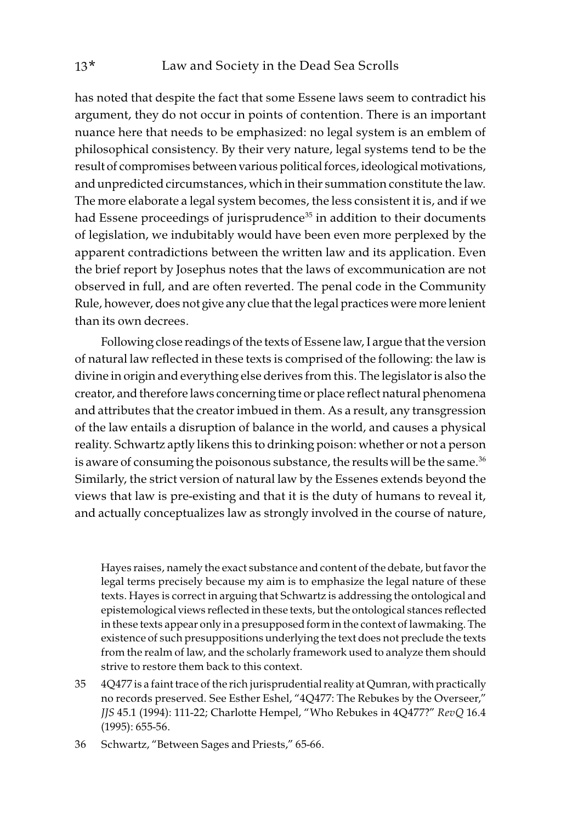has noted that despite the fact that some Essene laws seem to contradict his argument, they do not occur in points of contention. There is an important nuance here that needs to be emphasized: no legal system is an emblem of philosophical consistency. By their very nature, legal systems tend to be the result of compromises between various political forces, ideological motivations, and unpredicted circumstances, which in their summation constitute the law. The more elaborate a legal system becomes, the less consistent it is, and if we had Essene proceedings of jurisprudence<sup>35</sup> in addition to their documents of legislation, we indubitably would have been even more perplexed by the apparent contradictions between the written law and its application. Even the brief report by Josephus notes that the laws of excommunication are not observed in full, and are often reverted. The penal code in the Community Rule, however, does not give any clue that the legal practices were more lenient than its own decrees.

Following close readings of the texts of Essene law, I argue that the version of natural law reflected in these texts is comprised of the following: the law is divine in origin and everything else derives from this. The legislator is also the creator, and therefore laws concerning time or place reflect natural phenomena and attributes that the creator imbued in them. As a result, any transgression of the law entails a disruption of balance in the world, and causes a physical reality. Schwartz aptly likens this to drinking poison: whether or not a person is aware of consuming the poisonous substance, the results will be the same.<sup>36</sup> Similarly, the strict version of natural law by the Essenes extends beyond the views that law is pre-existing and that it is the duty of humans to reveal it, and actually conceptualizes law as strongly involved in the course of nature,

Hayes raises, namely the exact substance and content of the debate, but favor the legal terms precisely because my aim is to emphasize the legal nature of these texts. Hayes is correct in arguing that Schwartz is addressing the ontological and epistemological views reflected in these texts, but the ontological stances reflected in these texts appear only in a presupposed form in the context of lawmaking. The existence of such presuppositions underlying the text does not preclude the texts from the realm of law, and the scholarly framework used to analyze them should strive to restore them back to this context.

- 35 4Q477 is a faint trace of the rich jurisprudential reality at Qumran, with practically no records preserved. See Esther Eshel, "4Q477: The Rebukes by the Overseer," JJS 45.1 (1994): 111-22; Charlotte Hempel, "Who Rebukes in 4Q477?" RevQ 16.4 (1995): 655-56.
- 36 Schwartz, "Between Sages and Priests," 65-66.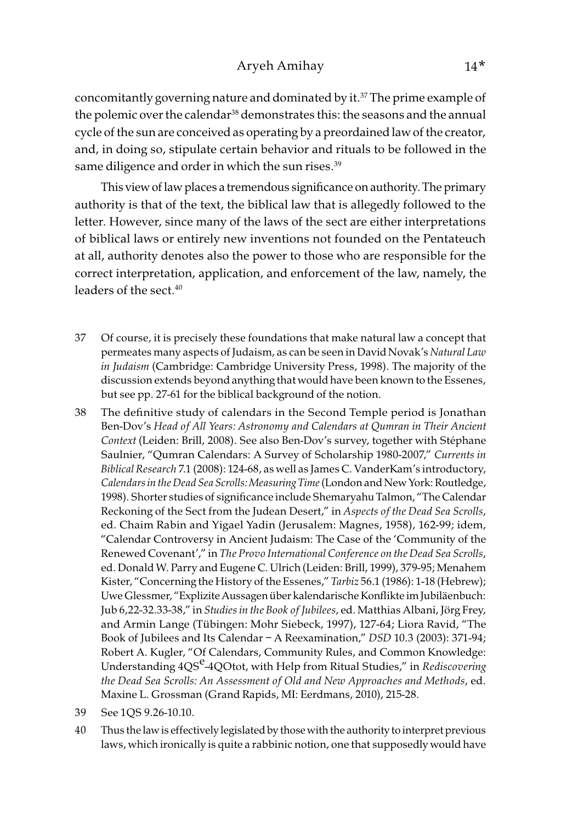concomitantly governing nature and dominated by it.<sup>37</sup> The prime example of the polemic over the calendar<sup>38</sup> demonstrates this: the seasons and the annual cycle of the sun are conceived as operating by a preordained law of the creator, and, in doing so, stipulate certain behavior and rituals to be followed in the same diligence and order in which the sun rises.<sup>39</sup>

This view of law places a tremendous significance on authority. The primary authority is that of the text, the biblical law that is allegedly followed to the letter. However, since many of the laws of the sect are either interpretations of biblical laws or entirely new inventions not founded on the Pentateuch at all, authority denotes also the power to those who are responsible for the correct interpretation, application, and enforcement of the law, namely, the leaders of the sect.<sup>40</sup>

- 37 Of course, it is precisely these foundations that make natural law a concept that permeates many aspects of Judaism, as can be seen in David Novak's Natural Law in Judaism (Cambridge: Cambridge University Press, 1998). The majority of the discussion extends beyond anything that would have been known to the Essenes, but see pp. 27-61 for the biblical background of the notion.
- 38 The definitive study of calendars in the Second Temple period is Jonathan Ben-Dov's Head of All Years: Astronomy and Calendars at Qumran in Their Ancient Context (Leiden: Brill, 2008). See also Ben-Dov's survey, together with Stéphane Saulnier, "Qumran Calendars: A Survey of Scholarship 1980-2007," Currents in Biblical Research 7.1 (2008): 124-68, as well as James C. VanderKam's introductory, Calendars in the Dead Sea Scrolls: Measuring Time (London and New York: Routledge, 1998). Shorter studies of significance include Shemaryahu Talmon, "The Calendar Reckoning of the Sect from the Judean Desert," in Aspects of the Dead Sea Scrolls, ed. Chaim Rabin and Yigael Yadin (Jerusalem: Magnes, 1958), 162-99; idem, "Calendar Controversy in Ancient Judaism: The Case of the 'Community of the Renewed Covenant'," in The Provo International Conference on the Dead Sea Scrolls, ed. Donald W. Parry and Eugene C. Ulrich (Leiden: Brill, 1999), 379-95; Menahem Kister, "Concerning the History of the Essenes," Tarbiz 56.1 (1986): 1-18 (Hebrew); Uwe Glessmer, "Explizite Aussagen über kalendarische Konflikte im Jubiläenbuch: Jub 6,22-32.33-38," in Studies in the Book of Jubilees, ed. Matthias Albani, Jörg Frey, and Armin Lange (Tübingen: Mohr Siebeck, 1997), 127-64; Liora Ravid, "The Book of Jubilees and Its Calendar – A Reexamination," DSD 10.3 (2003): 371-94; Robert A. Kugler, "Of Calendars, Community Rules, and Common Knowledge: Understanding 4QS<sup>e</sup>-4QOtot, with Help from Ritual Studies," in Rediscovering the Dead Sea Scrolls: An Assessment of Old and New Approaches and Methods, ed. Maxine L. Grossman (Grand Rapids, MI: Eerdmans, 2010), 215-28.
- 39 See 1QS 9.26-10.10.
- 40 Thus the law is effectively legislated by those with the authority to interpret previous laws, which ironically is quite a rabbinic notion, one that supposedly would have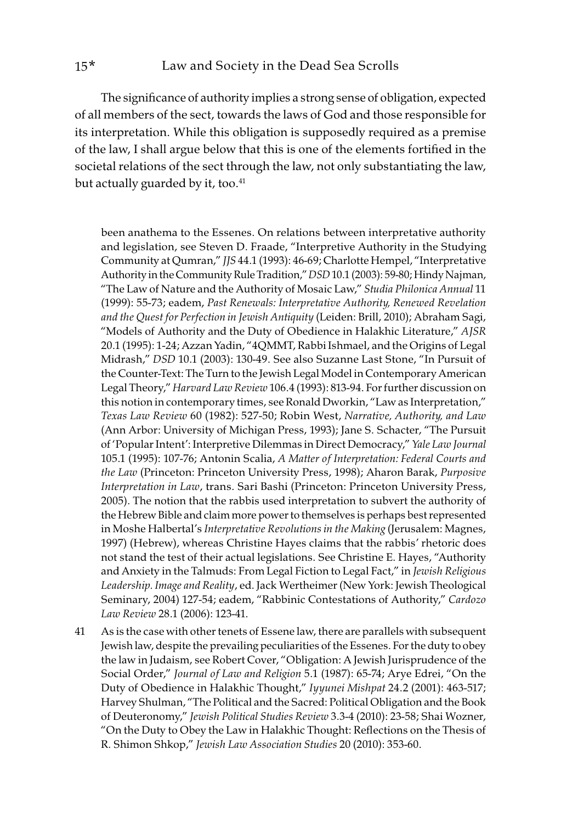The significance of authority implies a strong sense of obligation, expected of all members of the sect, towards the laws of God and those responsible for its interpretation. While this obligation is supposedly required as a premise of the law, I shall argue below that this is one of the elements fortified in the societal relations of the sect through the law, not only substantiating the law, but actually guarded by it, too.<sup>41</sup>

been anathema to the Essenes. On relations between interpretative authority and legislation, see Steven D. Fraade, "Interpretive Authority in the Studying Community at Qumran," JJS 44.1 (1993): 46-69; Charlotte Hempel, "Interpretative Authority in the Community Rule Tradition," DSD 10.1 (2003): 59-80; Hindy Najman, "The Law of Nature and the Authority of Mosaic Law," Studia Philonica Annual 11 (1999): 55-73; eadem, Past Renewals: Interpretative Authority, Renewed Revelation and the Quest for Perfection in Jewish Antiquity (Leiden: Brill, 2010); Abraham Sagi, "Models of Authority and the Duty of Obedience in Halakhic Literature," AJSR 20.1 (1995): 1-24; Azzan Yadin, "4QMMT, Rabbi Ishmael, and the Origins of Legal Midrash," DSD 10.1 (2003): 130-49. See also Suzanne Last Stone, "In Pursuit of the Counter-Text: The Turn to the Jewish Legal Model in Contemporary American Legal Theory," Harvard Law Review 106.4 (1993): 813-94. For further discussion on this notion in contemporary times, see Ronald Dworkin, "Law as Interpretation," Texas Law Review 60 (1982): 527-50; Robin West, Narrative, Authority, and Law (Ann Arbor: University of Michigan Press, 1993); Jane S. Schacter, "The Pursuit of 'Popular Intent': Interpretive Dilemmas in Direct Democracy," Yale Law Journal 105.1 (1995): 107-76; Antonin Scalia, A Matter of Interpretation: Federal Courts and the Law (Princeton: Princeton University Press, 1998); Aharon Barak, Purposive Interpretation in Law, trans. Sari Bashi (Princeton: Princeton University Press, 2005). The notion that the rabbis used interpretation to subvert the authority of the Hebrew Bible and claim more power to themselves is perhaps best represented in Moshe Halbertal's Interpretative Revolutions in the Making (Jerusalem: Magnes, 1997) (Hebrew), whereas Christine Hayes claims that the rabbis' rhetoric does not stand the test of their actual legislations. See Christine E. Hayes, "Authority and Anxiety in the Talmuds: From Legal Fiction to Legal Fact," in Jewish Religious Leadership. Image and Reality, ed. Jack Wertheimer (New York: Jewish Theological Seminary, 2004) 127-54; eadem, "Rabbinic Contestations of Authority," Cardozo Law Review 28.1 (2006): 123-41.

41 As is the case with other tenets of Essene law, there are parallels with subsequent Jewish law, despite the prevailing peculiarities of the Essenes. For the duty to obey the law in Judaism, see Robert Cover, "Obligation: A Jewish Jurisprudence of the Social Order," Journal of Law and Religion 5.1 (1987): 65-74; Arye Edrei, "On the Duty of Obedience in Halakhic Thought," Iyyunei Mishpat 24.2 (2001): 463-517; Harvey Shulman, "The Political and the Sacred: Political Obligation and the Book of Deuteronomy," Jewish Political Studies Review 3.3-4 (2010): 23-58; Shai Wozner, "On the Duty to Obey the Law in Halakhic Thought: Reflections on the Thesis of R. Shimon Shkop," Jewish Law Association Studies 20 (2010): 353-60.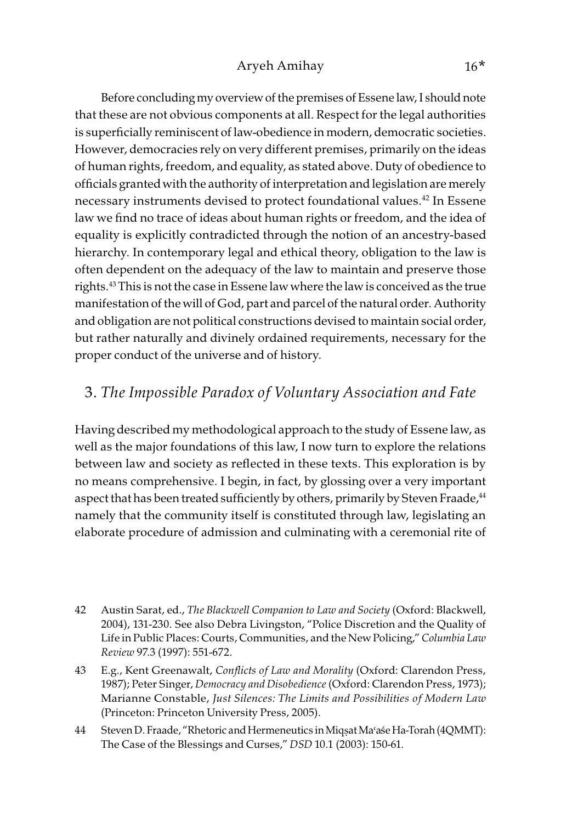Before concluding my overview of the premises of Essene law, I should note that these are not obvious components at all. Respect for the legal authorities is superficially reminiscent of law-obedience in modern, democratic societies. However, democracies rely on very different premises, primarily on the ideas of human rights, freedom, and equality, as stated above. Duty of obedience to officials granted with the authority of interpretation and legislation are merely necessary instruments devised to protect foundational values.<sup>42</sup> In Essene law we find no trace of ideas about human rights or freedom, and the idea of equality is explicitly contradicted through the notion of an ancestry-based hierarchy. In contemporary legal and ethical theory, obligation to the law is often dependent on the adequacy of the law to maintain and preserve those rights.43 This is not the case in Essene law where the law is conceived as the true manifestation of the will of God, part and parcel of the natural order. Authority and obligation are not political constructions devised to maintain social order, but rather naturally and divinely ordained requirements, necessary for the proper conduct of the universe and of history.

### 3. The Impossible Paradox of Voluntary Association and Fate

Having described my methodological approach to the study of Essene law, as well as the major foundations of this law, I now turn to explore the relations between law and society as reflected in these texts. This exploration is by no means comprehensive. I begin, in fact, by glossing over a very important aspect that has been treated sufficiently by others, primarily by Steven Fraade,<sup>44</sup> namely that the community itself is constituted through law, legislating an elaborate procedure of admission and culminating with a ceremonial rite of

- 42 Austin Sarat, ed., The Blackwell Companion to Law and Society (Oxford: Blackwell, 2004), 131-230. See also Debra Livingston, "Police Discretion and the Quality of Life in Public Places: Courts, Communities, and the New Policing," Columbia Law Review 97.3 (1997): 551-672.
- 43 E.g., Kent Greenawalt, Conflicts of Law and Morality (Oxford: Clarendon Press, 1987); Peter Singer, Democracy and Disobedience (Oxford: Clarendon Press, 1973); Marianne Constable, Just Silences: The Limits and Possibilities of Modern Law (Princeton: Princeton University Press, 2005).
- 44 Steven D. Fraade, "Rhetoric and Hermeneutics in Miqṣat Ma>a´se Ha-Torah (4QMMT): The Case of the Blessings and Curses," DSD 10.1 (2003): 150-61.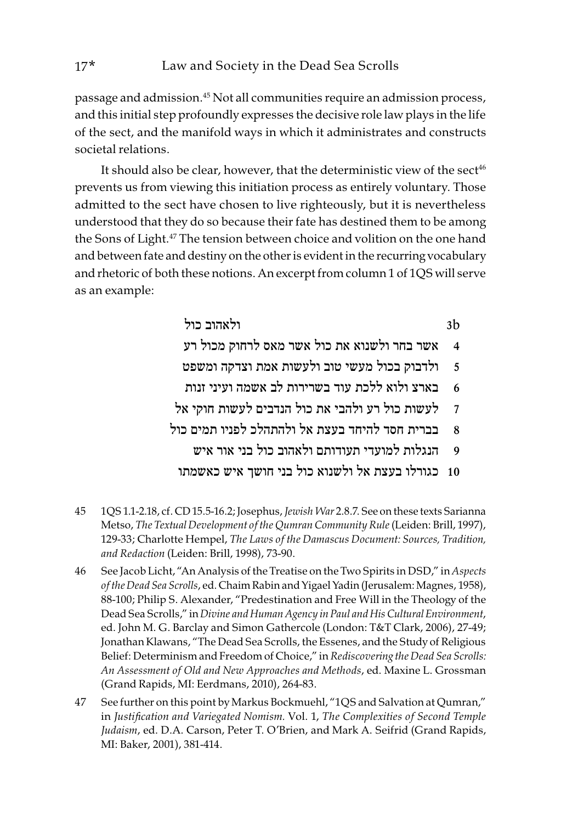passage and admission.45 Not all communities require an admission process, and this initial step profoundly expresses the decisive role law plays in the life of the sect, and the manifold ways in which it administrates and constructs societal relations.

It should also be clear, however, that the deterministic view of the sect<sup>46</sup> prevents us from viewing this initiation process as entirely voluntary. Those admitted to the sect have chosen to live righteously, but it is nevertheless understood that they do so because their fate has destined them to be among the Sons of Light.<sup>47</sup> The tension between choice and volition on the one hand and between fate and destiny on the other is evident in the recurring vocabulary and rhetoric of both these notions. An excerpt from column 1 of 1QS will serve as an example:

> b3 ולאהוב כול אשר בחר ולשנוא את כול אשר מאס לרחוק מכול רע ולדבוק בכול מעשי טוב ולעשות אמת וצדקה ומשפט בארצ ולוא ללכת עוד בשרירות לב אשמה ועיני זנות לעשות כול רע ולהבי את כול הנדבים לעשות חוקי אל בברית חסד להיחד בעצת אל ולהתהלכ לפניו תמים כול הנגלות למועדי תעודותם ולאהוב כול בני אור איש כגורלו בעצת אל ולשנוא כול בני חושך איש כאשמתו

- 45 1QS 1.1-2.18, cf. CD 15.5-16.2; Josephus, Jewish War 2.8.7. See on these texts Sarianna Metso, The Textual Development of the Qumran Community Rule (Leiden: Brill, 1997), 129-33; Charlotte Hempel, The Laws of the Damascus Document: Sources, Tradition, and Redaction (Leiden: Brill, 1998), 73-90.
- 46 See Jacob Licht, "An Analysis of the Treatise on the Two Spirits in DSD," in Aspects of the Dead Sea Scrolls, ed. Chaim Rabin and Yigael Yadin (Jerusalem: Magnes, 1958), 88-100; Philip S. Alexander, "Predestination and Free Will in the Theology of the Dead Sea Scrolls," in Divine and Human Agency in Paul and His Cultural Environment, ed. John M. G. Barclay and Simon Gathercole (London: T&T Clark, 2006), 27-49; Jonathan Klawans, "The Dead Sea Scrolls, the Essenes, and the Study of Religious Belief: Determinism and Freedom of Choice," in Rediscovering the Dead Sea Scrolls: An Assessment of Old and New Approaches and Methods, ed. Maxine L. Grossman (Grand Rapids, MI: Eerdmans, 2010), 264-83.
- 47 See further on this point by Markus Bockmuehl, "1QS and Salvation at Qumran," in Justification and Variegated Nomism. Vol. 1, The Complexities of Second Temple Judaism, ed. D.A. Carson, Peter T. O'Brien, and Mark A. Seifrid (Grand Rapids, MI: Baker, 2001), 381-414.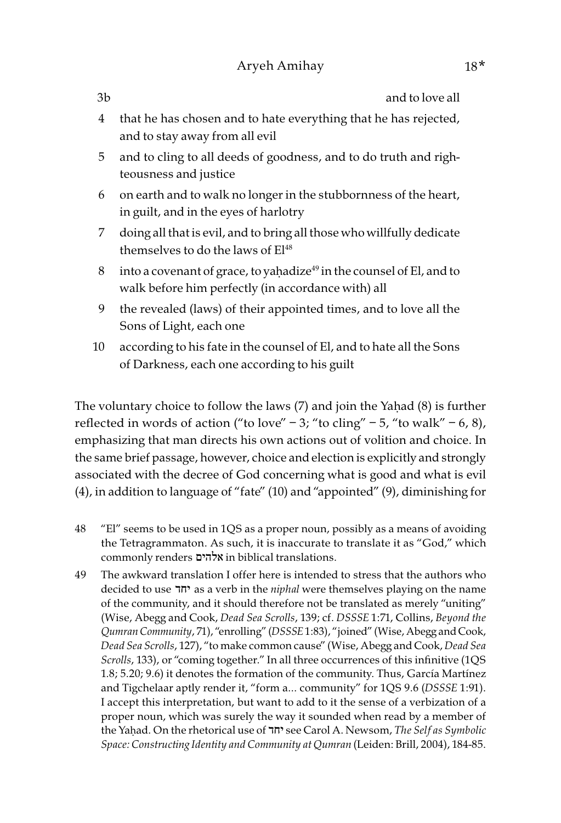3b and to love all

- 4 that he has chosen and to hate everything that he has rejected, and to stay away from all evil
- 5 and to cling to all deeds of goodness, and to do truth and righteousness and justice
- 6 on earth and to walk no longer in the stubbornness of the heart, in guilt, and in the eyes of harlotry
- 7 doing all that is evil, and to bring all those who willfully dedicate themselves to do the laws of El<sup>48</sup>
- 8 into a covenant of grace, to yaḥadize $49$  in the counsel of El, and to walk before him perfectly (in accordance with) all
- 9 the revealed (laws) of their appointed times, and to love all the Sons of Light, each one
- 10 according to his fate in the counsel of El, and to hate all the Sons of Darkness, each one according to his guilt

The voluntary choice to follow the laws (7) and join the Yaḥad (8) is further reflected in words of action ("to love" – 3; "to cling" – 5, "to walk" – 6, 8), emphasizing that man directs his own actions out of volition and choice. In the same brief passage, however, choice and election is explicitly and strongly associated with the decree of God concerning what is good and what is evil (4), in addition to language of "fate" (10) and "appointed" (9), diminishing for

- 48 "El" seems to be used in 1QS as a proper noun, possibly as a means of avoiding the Tetragrammaton. As such, it is inaccurate to translate it as "God," which commonly renders אלהים in biblical translations.
- 49 The awkward translation I offer here is intended to stress that the authors who decided to use יחד as a verb in the niphal were themselves playing on the name of the community, and it should therefore not be translated as merely "uniting" (Wise, Abegg and Cook, Dead Sea Scrolls, 139; cf. DSSSE 1:71, Collins, Beyond the Qumran Community, 71), "enrolling" (DSSSE 1:83), "joined" (Wise, Abegg and Cook, Dead Sea Scrolls, 127), "to make common cause" (Wise, Abegg and Cook, Dead Sea Scrolls, 133), or "coming together." In all three occurrences of this infinitive (1QS 1.8; 5.20; 9.6) it denotes the formation of the community. Thus, García Martínez and Tigchelaar aptly render it, "form a… community" for 1QS 9.6 (DSSSE 1:91). I accept this interpretation, but want to add to it the sense of a verbization of a proper noun, which was surely the way it sounded when read by a member of the Yaḥad. On the rhetorical use of יחד see Carol A. Newsom, The Self as Symbolic Space: Constructing Identity and Community at Qumran (Leiden: Brill, 2004), 184-85.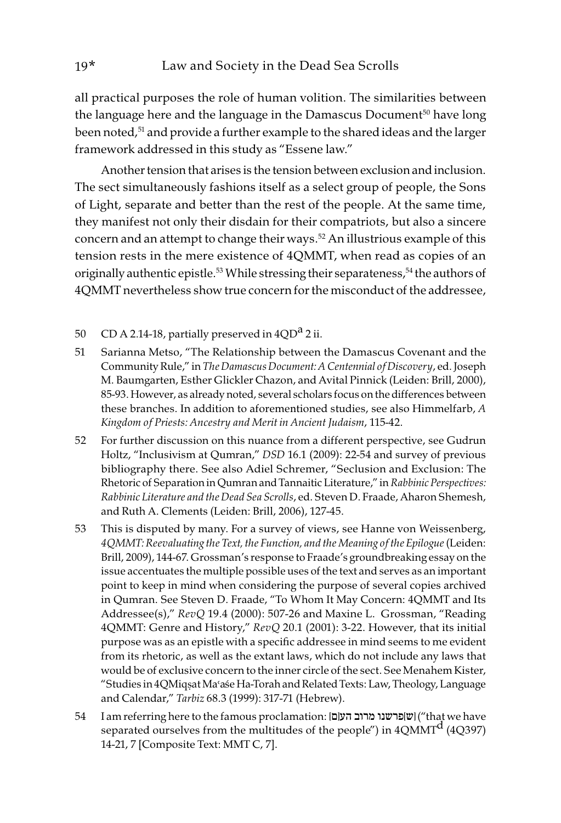all practical purposes the role of human volition. The similarities between the language here and the language in the Damascus Document<sup>50</sup> have long been noted,<sup>51</sup> and provide a further example to the shared ideas and the larger framework addressed in this study as "Essene law."

Another tension that arises is the tension between exclusion and inclusion. The sect simultaneously fashions itself as a select group of people, the Sons of Light, separate and better than the rest of the people. At the same time, they manifest not only their disdain for their compatriots, but also a sincere concern and an attempt to change their ways.<sup>52</sup> An illustrious example of this tension rests in the mere existence of 4QMMT, when read as copies of an originally authentic epistle.<sup>53</sup> While stressing their separateness,<sup>54</sup> the authors of 4QMMT nevertheless show true concern for the misconduct of the addressee,

- 50 CD A 2.14-18, partially preserved in  $4QD^a$  2 ii.
- 51 Sarianna Metso, "The Relationship between the Damascus Covenant and the Community Rule," in The Damascus Document: A Centennial of Discovery, ed. Joseph M. Baumgarten, Esther Glickler Chazon, and Avital Pinnick (Leiden: Brill, 2000), 85-93. However, as already noted, several scholars focus on the differences between these branches. In addition to aforementioned studies, see also Himmelfarb, A Kingdom of Priests: Ancestry and Merit in Ancient Judaism, 115-42.
- 52 For further discussion on this nuance from a different perspective, see Gudrun Holtz, "Inclusivism at Qumran," DSD 16.1 (2009): 22-54 and survey of previous bibliography there. See also Adiel Schremer, "Seclusion and Exclusion: The Rhetoric of Separation in Qumran and Tannaitic Literature," in Rabbinic Perspectives: Rabbinic Literature and the Dead Sea Scrolls, ed. Steven D. Fraade, Aharon Shemesh, and Ruth A. Clements (Leiden: Brill, 2006), 127-45.
- 53 This is disputed by many. For a survey of views, see Hanne von Weissenberg, 4QMMT: Reevaluating the Text, the Function, and the Meaning of the Epilogue (Leiden: Brill, 2009), 144-67. Grossman's response to Fraade's groundbreaking essay on the issue accentuates the multiple possible uses of the text and serves as an important point to keep in mind when considering the purpose of several copies archived in Qumran. See Steven D. Fraade, "To Whom It May Concern: 4QMMT and Its Addressee(s)," RevQ 19.4 (2000): 507-26 and Maxine L. Grossman, "Reading 4QMMT: Genre and History," RevQ 20.1 (2001): 3-22. However, that its initial purpose was as an epistle with a specific addressee in mind seems to me evident from its rhetoric, as well as the extant laws, which do not include any laws that would be of exclusive concern to the inner circle of the sect. See Menahem Kister, "Studies in 4QMiqsat Ma'ase Ha-Torah and Related Texts: Law, Theology, Language and Calendar," Tarbiz 68.3 (1999): 317-71 (Hebrew).
- 54 I am referring here to the famous proclamation: [שפרשנו מרוב העןם]  $\mathfrak{w}$  ("that we have separated ourselves from the multitudes of the people") in  $4QMMT<sup>d</sup>$  (4Q397) 14-21, 7 [Composite Text: MMT C, 7].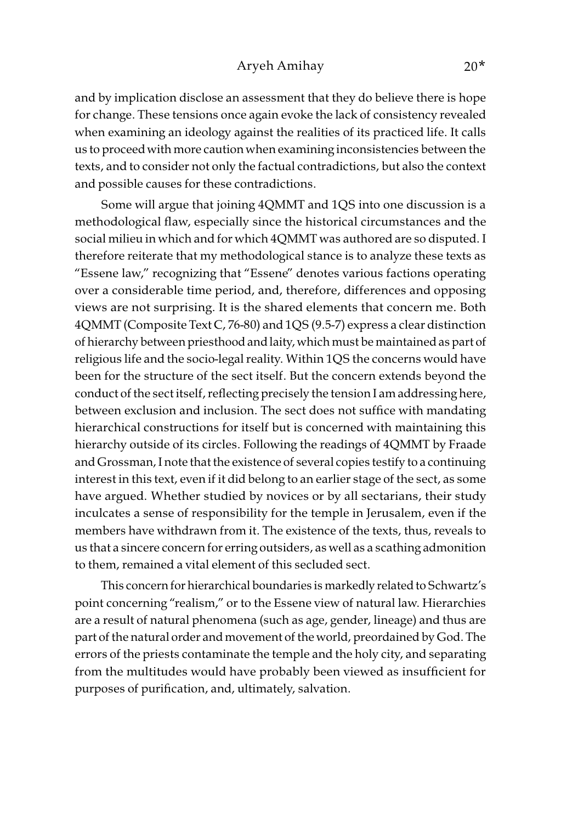#### Aryeh Amihay 20\*

and by implication disclose an assessment that they do believe there is hope for change. These tensions once again evoke the lack of consistency revealed when examining an ideology against the realities of its practiced life. It calls us to proceed with more caution when examining inconsistencies between the texts, and to consider not only the factual contradictions, but also the context and possible causes for these contradictions.

Some will argue that joining 4QMMT and 1QS into one discussion is a methodological flaw, especially since the historical circumstances and the social milieu in which and for which 4QMMT was authored are so disputed. I therefore reiterate that my methodological stance is to analyze these texts as "Essene law," recognizing that "Essene" denotes various factions operating over a considerable time period, and, therefore, differences and opposing views are not surprising. It is the shared elements that concern me. Both 4QMMT (Composite Text C, 76-80) and 1QS (9.5-7) express a clear distinction of hierarchy between priesthood and laity, which must be maintained as part of religious life and the socio-legal reality. Within 1QS the concerns would have been for the structure of the sect itself. But the concern extends beyond the conduct of the sect itself, reflecting precisely the tension I am addressing here, between exclusion and inclusion. The sect does not suffice with mandating hierarchical constructions for itself but is concerned with maintaining this hierarchy outside of its circles. Following the readings of 4QMMT by Fraade and Grossman, I note that the existence of several copies testify to a continuing interest in this text, even if it did belong to an earlier stage of the sect, as some have argued. Whether studied by novices or by all sectarians, their study inculcates a sense of responsibility for the temple in Jerusalem, even if the members have withdrawn from it. The existence of the texts, thus, reveals to us that a sincere concern for erring outsiders, as well as a scathing admonition to them, remained a vital element of this secluded sect.

This concern for hierarchical boundaries is markedly related to Schwartz's point concerning "realism," or to the Essene view of natural law. Hierarchies are a result of natural phenomena (such as age, gender, lineage) and thus are part of the natural order and movement of the world, preordained by God. The errors of the priests contaminate the temple and the holy city, and separating from the multitudes would have probably been viewed as insufficient for purposes of purification, and, ultimately, salvation.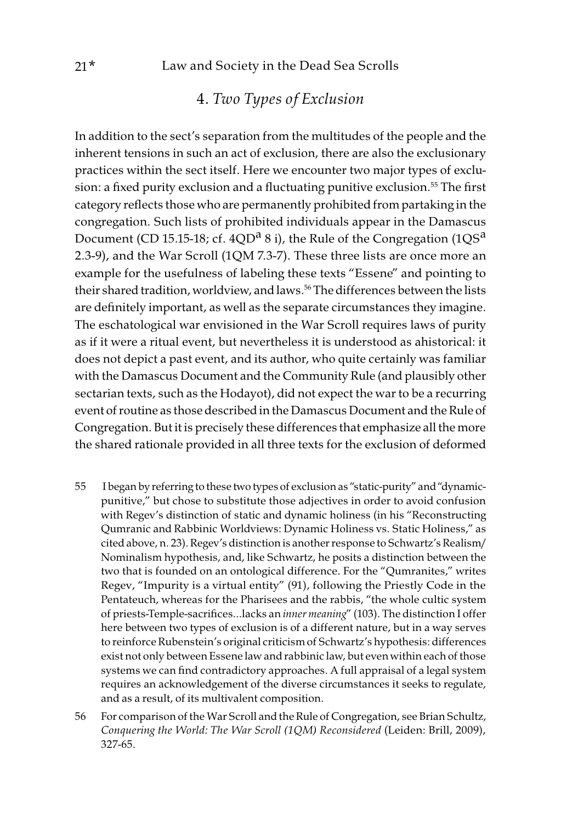## 4. Two Types of Exclusion

In addition to the sect's separation from the multitudes of the people and the inherent tensions in such an act of exclusion, there are also the exclusionary practices within the sect itself. Here we encounter two major types of exclusion: a fixed purity exclusion and a fluctuating punitive exclusion.<sup>55</sup> The first category reflects those who are permanently prohibited from partaking in the congregation. Such lists of prohibited individuals appear in the Damascus Document (CD 15.15-18; cf. 4QD<sup>a</sup> 8 i), the Rule of the Congregation (1QS<sup>a</sup>) 2.3-9), and the War Scroll (1QM 7.3-7). These three lists are once more an example for the usefulness of labeling these texts "Essene" and pointing to their shared tradition, worldview, and laws.<sup>56</sup> The differences between the lists are definitely important, as well as the separate circumstances they imagine. The eschatological war envisioned in the War Scroll requires laws of purity as if it were a ritual event, but nevertheless it is understood as ahistorical: it does not depict a past event, and its author, who quite certainly was familiar with the Damascus Document and the Community Rule (and plausibly other sectarian texts, such as the Hodayot), did not expect the war to be a recurring event of routine as those described in the Damascus Document and the Rule of Congregation. But it is precisely these differences that emphasize all the more the shared rationale provided in all three texts for the exclusion of deformed

- 55 I began by referring to these two types of exclusion as "static-purity" and "dynamicpunitive," but chose to substitute those adjectives in order to avoid confusion with Regev's distinction of static and dynamic holiness (in his "Reconstructing Qumranic and Rabbinic Worldviews: Dynamic Holiness vs. Static Holiness," as cited above, n. 23). Regev's distinction is another response to Schwartz's Realism/ Nominalism hypothesis, and, like Schwartz, he posits a distinction between the two that is founded on an ontological difference. For the "Qumranites," writes Regev, "Impurity is a virtual entity" (91), following the Priestly Code in the Pentateuch, whereas for the Pharisees and the rabbis, "the whole cultic system of priests-Temple-sacrifices…lacks an inner meaning" (103). The distinction I offer here between two types of exclusion is of a different nature, but in a way serves to reinforce Rubenstein's original criticism of Schwartz's hypothesis: differences exist not only between Essene law and rabbinic law, but even within each of those systems we can find contradictory approaches. A full appraisal of a legal system requires an acknowledgement of the diverse circumstances it seeks to regulate, and as a result, of its multivalent composition.
- 56 For comparison of the War Scroll and the Rule of Congregation, see Brian Schultz, Conquering the World: The War Scroll (1QM) Reconsidered (Leiden: Brill, 2009), 327-65.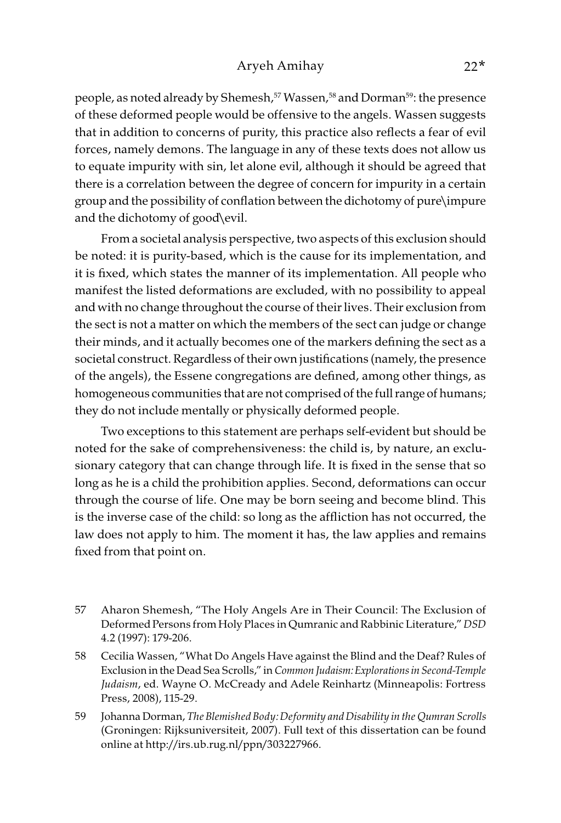#### Aryeh Amihay 22\*

people, as noted already by Shemesh,<sup>57</sup> Wassen,<sup>58</sup> and Dorman<sup>59</sup>: the presence of these deformed people would be offensive to the angels. Wassen suggests that in addition to concerns of purity, this practice also reflects a fear of evil forces, namely demons. The language in any of these texts does not allow us to equate impurity with sin, let alone evil, although it should be agreed that there is a correlation between the degree of concern for impurity in a certain group and the possibility of conflation between the dichotomy of pure\impure and the dichotomy of good\evil.

From a societal analysis perspective, two aspects of this exclusion should be noted: it is purity-based, which is the cause for its implementation, and it is fixed, which states the manner of its implementation. All people who manifest the listed deformations are excluded, with no possibility to appeal and with no change throughout the course of their lives. Their exclusion from the sect is not a matter on which the members of the sect can judge or change their minds, and it actually becomes one of the markers defining the sect as a societal construct. Regardless of their own justifications (namely, the presence of the angels), the Essene congregations are defined, among other things, as homogeneous communities that are not comprised of the full range of humans; they do not include mentally or physically deformed people.

Two exceptions to this statement are perhaps self-evident but should be noted for the sake of comprehensiveness: the child is, by nature, an exclusionary category that can change through life. It is fixed in the sense that so long as he is a child the prohibition applies. Second, deformations can occur through the course of life. One may be born seeing and become blind. This is the inverse case of the child: so long as the affliction has not occurred, the law does not apply to him. The moment it has, the law applies and remains fixed from that point on.

- 57 Aharon Shemesh, "The Holy Angels Are in Their Council: The Exclusion of Deformed Persons from Holy Places in Qumranic and Rabbinic Literature," DSD 4.2 (1997): 179-206.
- 58 Cecilia Wassen, "What Do Angels Have against the Blind and the Deaf? Rules of Exclusion in the Dead Sea Scrolls," in Common Judaism: Explorations in Second-Temple Judaism, ed. Wayne O. McCready and Adele Reinhartz (Minneapolis: Fortress Press, 2008), 115-29.
- 59 Johanna Dorman, The Blemished Body: Deformity and Disability in the Qumran Scrolls (Groningen: Rijksuniversiteit, 2007). Full text of this dissertation can be found online at http://irs.ub.rug.nl/ppn/303227966.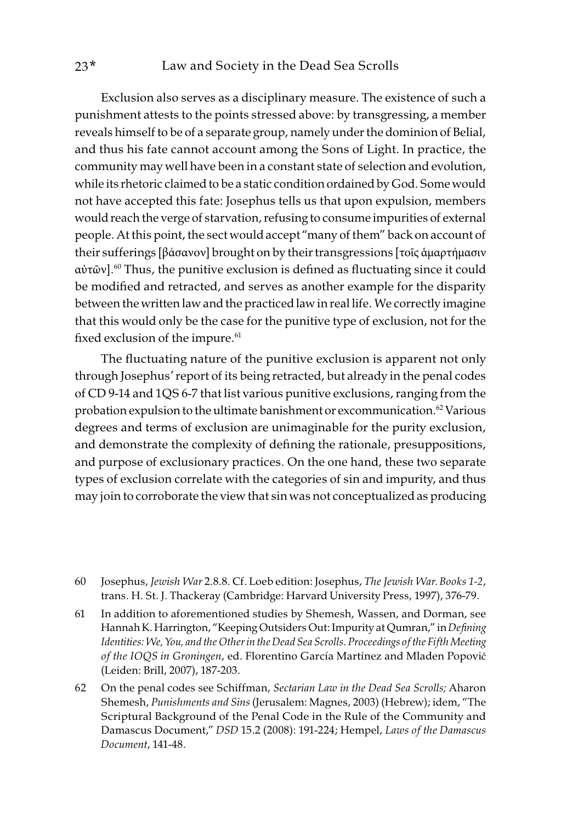### 23\* Law and Society in the Dead Sea Scrolls

Exclusion also serves as a disciplinary measure. The existence of such a punishment attests to the points stressed above: by transgressing, a member reveals himself to be of a separate group, namely under the dominion of Belial, and thus his fate cannot account among the Sons of Light. In practice, the community may well have been in a constant state of selection and evolution, while its rhetoric claimed to be a static condition ordained by God. Some would not have accepted this fate: Josephus tells us that upon expulsion, members would reach the verge of starvation, refusing to consume impurities of external people. At this point, the sect would accept "many of them" back on account of their sufferings [βάσανον] brought on by their transgressions [τοῖς ἁμαρτήμασιν αὐτῶν].60 Thus, the punitive exclusion is defined as fluctuating since it could be modified and retracted, and serves as another example for the disparity between the written law and the practiced law in real life. We correctly imagine that this would only be the case for the punitive type of exclusion, not for the fixed exclusion of the impure.<sup>61</sup>

The fluctuating nature of the punitive exclusion is apparent not only through Josephus' report of its being retracted, but already in the penal codes of CD 9-14 and 1QS 6-7 that list various punitive exclusions, ranging from the probation expulsion to the ultimate banishment or excommunication.<sup>62</sup> Various degrees and terms of exclusion are unimaginable for the purity exclusion, and demonstrate the complexity of defining the rationale, presuppositions, and purpose of exclusionary practices. On the one hand, these two separate types of exclusion correlate with the categories of sin and impurity, and thus may join to corroborate the view that sin was not conceptualized as producing

- 60 Josephus, Jewish War 2.8.8. Cf. Loeb edition: Josephus, The Jewish War. Books 1-2, trans. H. St. J. Thackeray (Cambridge: Harvard University Press, 1997), 376-79.
- 61 In addition to aforementioned studies by Shemesh, Wassen, and Dorman, see Hannah K. Harrington, "Keeping Outsiders Out: Impurity at Qumran," in Defining Identities: We, You, and the Other in the Dead Sea Scrolls. Proceedings of the Fifth Meeting of the IOQS in Groningen, ed. Florentino García Martínez and Mladen Popović (Leiden: Brill, 2007), 187-203.
- 62 On the penal codes see Schiffman, Sectarian Law in the Dead Sea Scrolls; Aharon Shemesh, Punishments and Sins (Jerusalem: Magnes, 2003) (Hebrew); idem, "The Scriptural Background of the Penal Code in the Rule of the Community and Damascus Document," DSD 15.2 (2008): 191-224; Hempel, Laws of the Damascus Document, 141-48.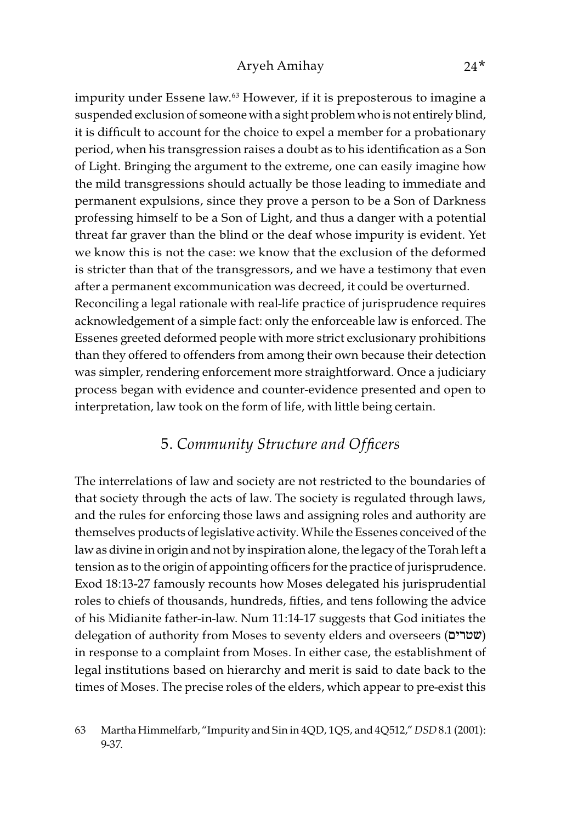impurity under Essene law.<sup>63</sup> However, if it is preposterous to imagine a suspended exclusion of someone with a sight problem who is not entirely blind, it is difficult to account for the choice to expel a member for a probationary period, when his transgression raises a doubt as to his identification as a Son of Light. Bringing the argument to the extreme, one can easily imagine how the mild transgressions should actually be those leading to immediate and permanent expulsions, since they prove a person to be a Son of Darkness professing himself to be a Son of Light, and thus a danger with a potential threat far graver than the blind or the deaf whose impurity is evident. Yet we know this is not the case: we know that the exclusion of the deformed is stricter than that of the transgressors, and we have a testimony that even after a permanent excommunication was decreed, it could be overturned. Reconciling a legal rationale with real-life practice of jurisprudence requires acknowledgement of a simple fact: only the enforceable law is enforced. The Essenes greeted deformed people with more strict exclusionary prohibitions than they offered to offenders from among their own because their detection was simpler, rendering enforcement more straightforward. Once a judiciary process began with evidence and counter-evidence presented and open to interpretation, law took on the form of life, with little being certain.

### 5. Community Structure and Officers

The interrelations of law and society are not restricted to the boundaries of that society through the acts of law. The society is regulated through laws, and the rules for enforcing those laws and assigning roles and authority are themselves products of legislative activity. While the Essenes conceived of the law as divine in origin and not by inspiration alone, the legacy of the Torah left a tension as to the origin of appointing officers for the practice of jurisprudence. Exod 18:13-27 famously recounts how Moses delegated his jurisprudential roles to chiefs of thousands, hundreds, fifties, and tens following the advice of his Midianite father-in-law. Num 11:14-17 suggests that God initiates the delegation of authority from Moses to seventy elders and overseers (שטרים) in response to a complaint from Moses. In either case, the establishment of legal institutions based on hierarchy and merit is said to date back to the times of Moses. The precise roles of the elders, which appear to pre-exist this

<sup>63</sup> Martha Himmelfarb, "Impurity and Sin in 4QD, 1QS, and 4Q512," DSD 8.1 (2001): 9-37.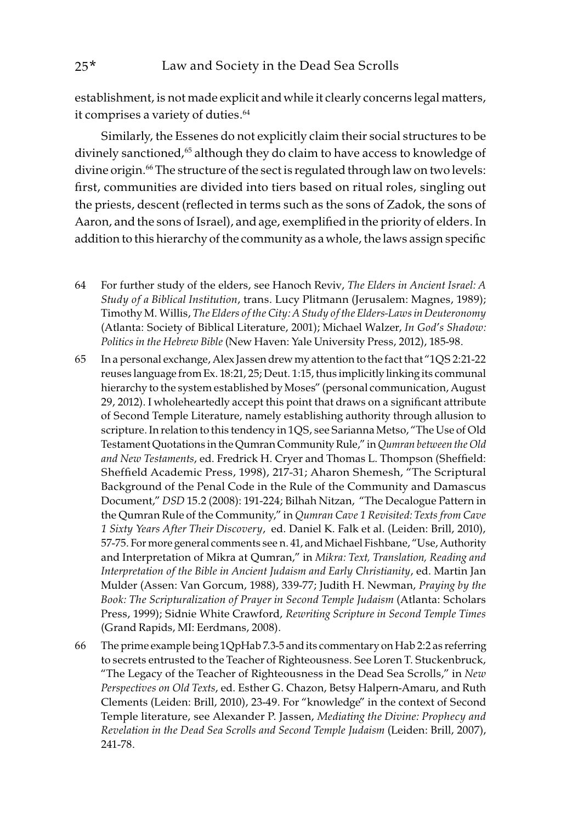establishment, is not made explicit and while it clearly concerns legal matters, it comprises a variety of duties.<sup>64</sup>

Similarly, the Essenes do not explicitly claim their social structures to be divinely sanctioned,<sup>65</sup> although they do claim to have access to knowledge of divine origin.<sup>66</sup> The structure of the sect is regulated through law on two levels: first, communities are divided into tiers based on ritual roles, singling out the priests, descent (reflected in terms such as the sons of Zadok, the sons of Aaron, and the sons of Israel), and age, exemplified in the priority of elders. In addition to this hierarchy of the community as a whole, the laws assign specific

- 64 For further study of the elders, see Hanoch Reviv, The Elders in Ancient Israel: A Study of a Biblical Institution, trans. Lucy Plitmann (Jerusalem: Magnes, 1989); Timothy M. Willis, The Elders of the City: A Study of the Elders-Laws in Deuteronomy (Atlanta: Society of Biblical Literature, 2001); Michael Walzer, In God's Shadow: Politics in the Hebrew Bible (New Haven: Yale University Press, 2012), 185-98.
- 65 In a personal exchange, Alex Jassen drew my attention to the fact that "1QS 2:21-22 reuses language from Ex. 18:21, 25; Deut. 1:15, thus implicitly linking its communal hierarchy to the system established by Moses" (personal communication, August 29, 2012). I wholeheartedly accept this point that draws on a significant attribute of Second Temple Literature, namely establishing authority through allusion to scripture. In relation to this tendency in 1QS, see Sarianna Metso, "The Use of Old Testament Quotations in the Qumran Community Rule," in Qumran between the Old and New Testaments, ed. Fredrick H. Cryer and Thomas L. Thompson (Sheffield: Sheffield Academic Press, 1998), 217-31; Aharon Shemesh, "The Scriptural Background of the Penal Code in the Rule of the Community and Damascus Document," DSD 15.2 (2008): 191-224; Bilhah Nitzan, "The Decalogue Pattern in the Qumran Rule of the Community," in Qumran Cave 1 Revisited: Texts from Cave 1 Sixty Years After Their Discovery, ed. Daniel K. Falk et al. (Leiden: Brill, 2010), 57-75. For more general comments see n. 41, and Michael Fishbane, "Use, Authority and Interpretation of Mikra at Qumran," in Mikra: Text, Translation, Reading and Interpretation of the Bible in Ancient Judaism and Early Christianity, ed. Martin Jan Mulder (Assen: Van Gorcum, 1988), 339-77; Judith H. Newman, Praying by the Book: The Scripturalization of Prayer in Second Temple Judaism (Atlanta: Scholars Press, 1999); Sidnie White Crawford, Rewriting Scripture in Second Temple Times (Grand Rapids, MI: Eerdmans, 2008).
- 66 The prime example being 1QpHab 7.3-5 and its commentary on Hab 2:2 as referring to secrets entrusted to the Teacher of Righteousness. See Loren T. Stuckenbruck, "The Legacy of the Teacher of Righteousness in the Dead Sea Scrolls," in New Perspectives on Old Texts, ed. Esther G. Chazon, Betsy Halpern-Amaru, and Ruth Clements (Leiden: Brill, 2010), 23-49. For "knowledge" in the context of Second Temple literature, see Alexander P. Jassen, Mediating the Divine: Prophecy and Revelation in the Dead Sea Scrolls and Second Temple Judaism (Leiden: Brill, 2007), 241-78.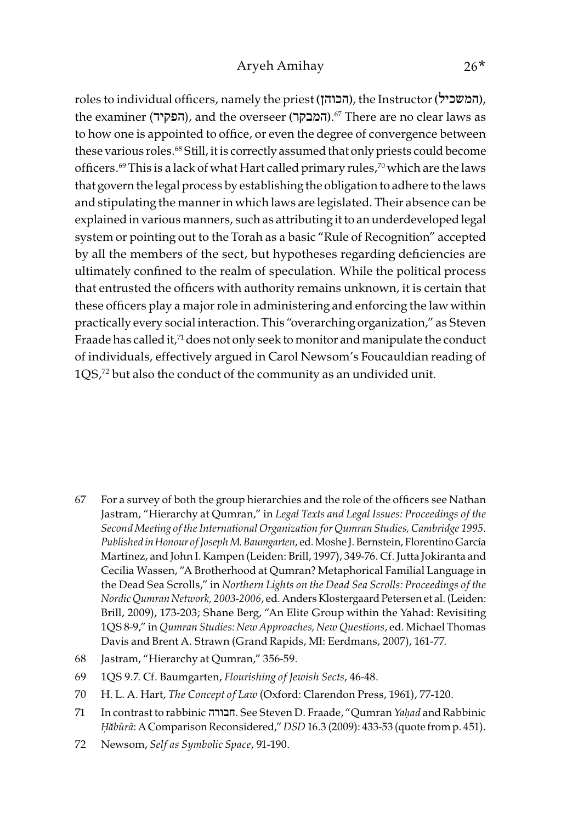roles to individual officers, namely the priest (הכוהן(, the Instructor (המשכיל(, the examiner (הפקיד), and the overseer (המבקר).<sup>67</sup> There are no clear laws as to how one is appointed to office, or even the degree of convergence between these various roles.68 Still, it is correctly assumed that only priests could become officers.<sup>69</sup> This is a lack of what Hart called primary rules,<sup>70</sup> which are the laws that govern the legal process by establishing the obligation to adhere to the laws and stipulating the manner in which laws are legislated. Their absence can be explained in various manners, such as attributing it to an underdeveloped legal system or pointing out to the Torah as a basic "Rule of Recognition" accepted by all the members of the sect, but hypotheses regarding deficiencies are ultimately confined to the realm of speculation. While the political process that entrusted the officers with authority remains unknown, it is certain that these officers play a major role in administering and enforcing the law within practically every social interaction. This "overarching organization," as Steven Fraade has called it, $71$  does not only seek to monitor and manipulate the conduct of individuals, effectively argued in Carol Newsom's Foucauldian reading of 1QS,<sup>72</sup> but also the conduct of the community as an undivided unit.

- 67 For a survey of both the group hierarchies and the role of the officers see Nathan Jastram, "Hierarchy at Qumran," in Legal Texts and Legal Issues: Proceedings of the Second Meeting of the International Organization for Qumran Studies, Cambridge 1995. Published in Honour of Joseph M. Baumgarten, ed. Moshe J. Bernstein, Florentino García Martínez, and John I. Kampen (Leiden: Brill, 1997), 349-76. Cf. Jutta Jokiranta and Cecilia Wassen, "A Brotherhood at Qumran? Metaphorical Familial Language in the Dead Sea Scrolls," in Northern Lights on the Dead Sea Scrolls: Proceedings of the Nordic Qumran Network, 2003-2006, ed. Anders Klostergaard Petersen et al. (Leiden: Brill, 2009), 173-203; Shane Berg, "An Elite Group within the Yahad: Revisiting 1QS 8-9," in Qumran Studies: New Approaches, New Questions, ed. Michael Thomas Davis and Brent A. Strawn (Grand Rapids, MI: Eerdmans, 2007), 161-77.
- 68 Jastram, "Hierarchy at Qumran," 356-59.
- 69 1QS 9.7. Cf. Baumgarten, Flourishing of Jewish Sects, 46-48.
- 70 H. L. A. Hart, The Concept of Law (Oxford: Clarendon Press, 1961), 77-120.
- 71 In contrast to rabbinic חבורה. See Steven D. Fraade, "Qumran Ya*ḥ*ad and Rabbinic *Ḥă*bûrâ: A Comparison Reconsidered," DSD 16.3 (2009): 433-53 (quote from p. 451).
- 72 Newsom, Self as Symbolic Space, 91-190.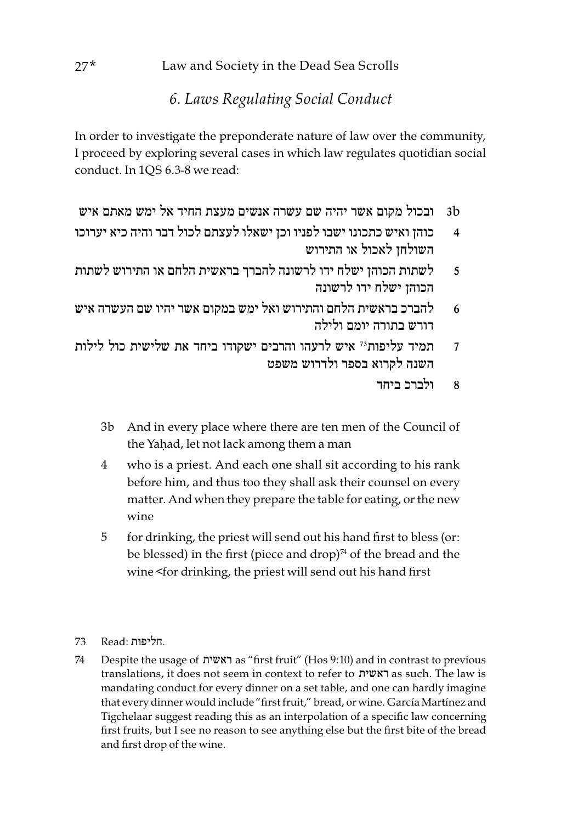## 6. Laws Regulating Social Conduct

In order to investigate the preponderate nature of law over the community, I proceed by exploring several cases in which law regulates quotidian social conduct. In 1QS 6.3-8 we read:

- b3 ובכול מקום אשר יהיה שם עשרה אנשים מעצת החיד אל ימש מאתם איש
- 4 כוהן ואיש כתכונו ישבו לפניו וכן ישאלו לעצתם לכול דבר והיה כיא יערוכו השולחן לאכול או התירוש
- 5 לשתות הכוהן ישלח ידו לרשונה להברך בראשית הלחם או התירוש לשתות הכוהן ישלח ידו לרשונה
- 6 להברכ בראשית הלחם והתירוש ואל ימש במקום אשר יהיו שם העשרה איש דורש בתורה יומם ולילה
- 7 תמיד עליפות73 איש לרעהו והרבים ישקודו ביחד את שלישית כול לילות השנה לקרוא בספר ולדרוש משפט
	- 8 ולברכ ביחד
	- 3b And in every place where there are ten men of the Council of the Yahad, let not lack among them a man
	- 4 who is a priest. And each one shall sit according to his rank before him, and thus too they shall ask their counsel on every matter. And when they prepare the table for eating, or the new wine
	- 5 for drinking, the priest will send out his hand first to bless (or: be blessed) in the first (piece and drop) $74$  of the bread and the wine <for drinking, the priest will send out his hand first
- .חליפות :Read 73
- 74 Despite the usage of ראשית as "first fruit" (Hos 9:10) and in contrast to previous translations, it does not seem in context to refer to ראשית as such. The law is mandating conduct for every dinner on a set table, and one can hardly imagine that every dinner would include "first fruit," bread, or wine. García Martínez and Tigchelaar suggest reading this as an interpolation of a specific law concerning first fruits, but I see no reason to see anything else but the first bite of the bread and first drop of the wine.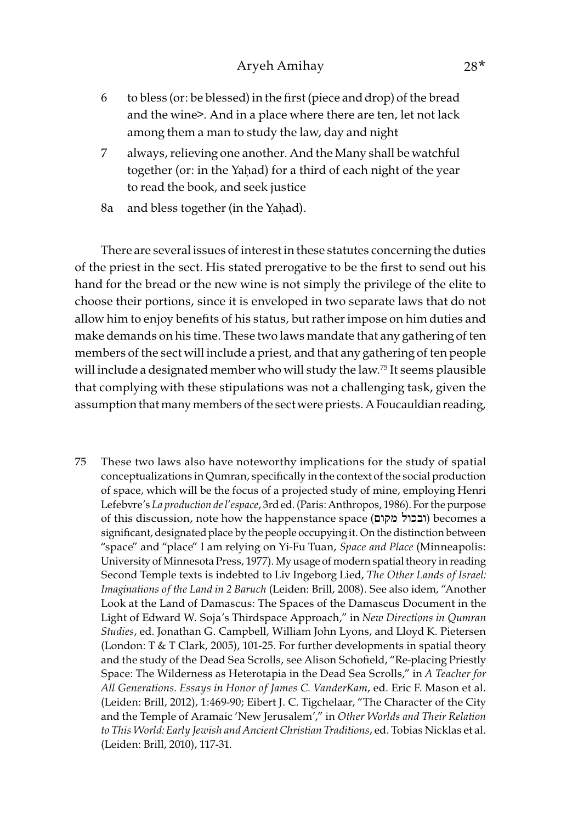- 6 to bless (or: be blessed) in the first (piece and drop) of the bread and the wine>. And in a place where there are ten, let not lack among them a man to study the law, day and night
- 7 always, relieving one another. And the Many shall be watchful together (or: in the Yaḥad) for a third of each night of the year to read the book, and seek justice
- 8a and bless together (in the Yaḥad).

There are several issues of interest in these statutes concerning the duties of the priest in the sect. His stated prerogative to be the first to send out his hand for the bread or the new wine is not simply the privilege of the elite to choose their portions, since it is enveloped in two separate laws that do not allow him to enjoy benefits of his status, but rather impose on him duties and make demands on his time. These two laws mandate that any gathering of ten members of the sect will include a priest, and that any gathering of ten people will include a designated member who will study the law.<sup>75</sup> It seems plausible that complying with these stipulations was not a challenging task, given the assumption that many members of the sect were priests. A Foucauldian reading,

75 These two laws also have noteworthy implications for the study of spatial conceptualizations in Qumran, specifically in the context of the social production of space, which will be the focus of a projected study of mine, employing Henri Lefebvre's La production de l'espace, 3rd ed. (Paris: Anthropos, 1986). For the purpose of this discussion, note how the happenstance space (מקום ובכול (becomes a significant, designated place by the people occupying it. On the distinction between "space" and "place" I am relying on Yi-Fu Tuan, Space and Place (Minneapolis: University of Minnesota Press, 1977). My usage of modern spatial theory in reading Second Temple texts is indebted to Liv Ingeborg Lied, The Other Lands of Israel: Imaginations of the Land in 2 Baruch (Leiden: Brill, 2008). See also idem, "Another Look at the Land of Damascus: The Spaces of the Damascus Document in the Light of Edward W. Soja's Thirdspace Approach," in New Directions in Qumran Studies, ed. Jonathan G. Campbell, William John Lyons, and Lloyd K. Pietersen (London: T & T Clark, 2005), 101-25. For further developments in spatial theory and the study of the Dead Sea Scrolls, see Alison Schofield, "Re-placing Priestly Space: The Wilderness as Heterotapia in the Dead Sea Scrolls," in A Teacher for All Generations. Essays in Honor of James C. VanderKam, ed. Eric F. Mason et al. (Leiden: Brill, 2012), 1:469-90; Eibert J. C. Tigchelaar, "The Character of the City and the Temple of Aramaic 'New Jerusalem'," in Other Worlds and Their Relation to This World: Early Jewish and Ancient Christian Traditions, ed. Tobias Nicklas et al. (Leiden: Brill, 2010), 117-31.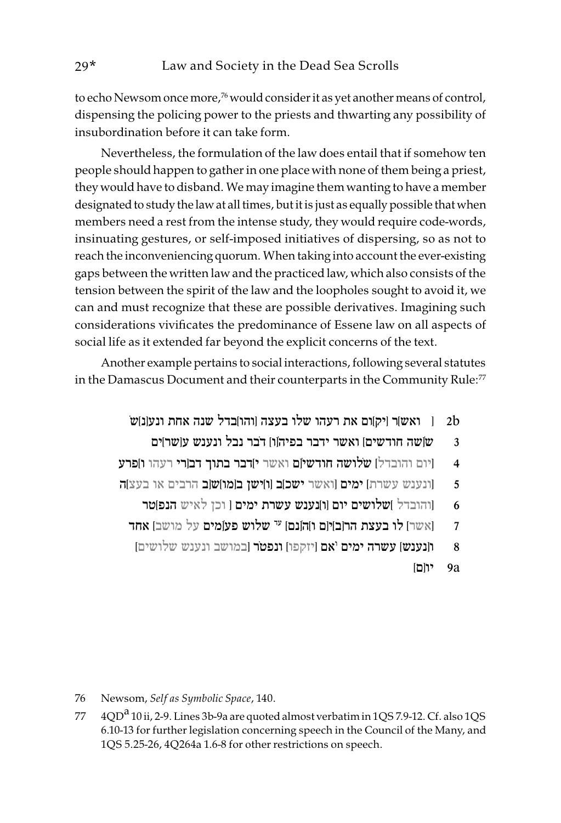to echo Newsom once more,<sup>76</sup> would consider it as yet another means of control, dispensing the policing power to the priests and thwarting any possibility of insubordination before it can take form.

Nevertheless, the formulation of the law does entail that if somehow ten people should happen to gather in one place with none of them being a priest, they would have to disband. We may imagine them wanting to have a member designated to study the law at all times, but it is just as equally possible that when members need a rest from the intense study, they would require code-words, insinuating gestures, or self-imposed initiatives of dispersing, so as not to reach the inconveniencing quorum. When taking into account the ever-existing gaps between the written law and the practiced law, which also consists of the tension between the spirit of the law and the loopholes sought to avoid it, we can and must recognize that these are possible derivatives. Imagining such considerations vivificates the predominance of Essene law on all aspects of social life as it extended far beyond the explicit concerns of the text.

Another example pertains to social interactions, following several statutes in the Damascus Document and their counterparts in the Community Rule:<sup>77</sup>

- b2 [ ואש[ר ]יק[ום את רעהו שלו בעצה ]והו[בדל שנה אחת ונע]נ[שֹ
	- שֿ]שה חודשים] ואשר ידבר בפיהוֿו] דֹבר נבל ונענש ע
- 4 |יום והובדל] ש**ֹלושה חודשי**ֹ[ם ואשר **י]דבר בתוך דב**[רי רעהו ו]פרע
- 5 ]ונענש עשרת[ ימים ]ואשר ישכ[ב ]ו[ישן ב]מו[ש]ב הרבים או בעצ[ה
	- והובדל ]שלושים יום [ו]נענש עשרת ימים [ וכן לאיש הנפ]טר  $\,$
	- אחד  $\sim$  אחד הרובויום והונם  $^{\rm tr}$ שלוש פעומים על מושב
	- 8 **ו[נענש] עשרה ימים 'אם [**יזקפו**] ונפטׂר [**במושב ונענש שלושים]
		- $9a$  יו

76 Newsom, Self as Symbolic Space, 140.

77  $4QD<sup>a</sup>$  10 ii, 2-9. Lines 3b-9a are quoted almost verbatim in 1QS 7.9-12. Cf. also 1QS 6.10-13 for further legislation concerning speech in the Council of the Many, and 1QS 5.25-26, 4Q264a 1.6-8 for other restrictions on speech.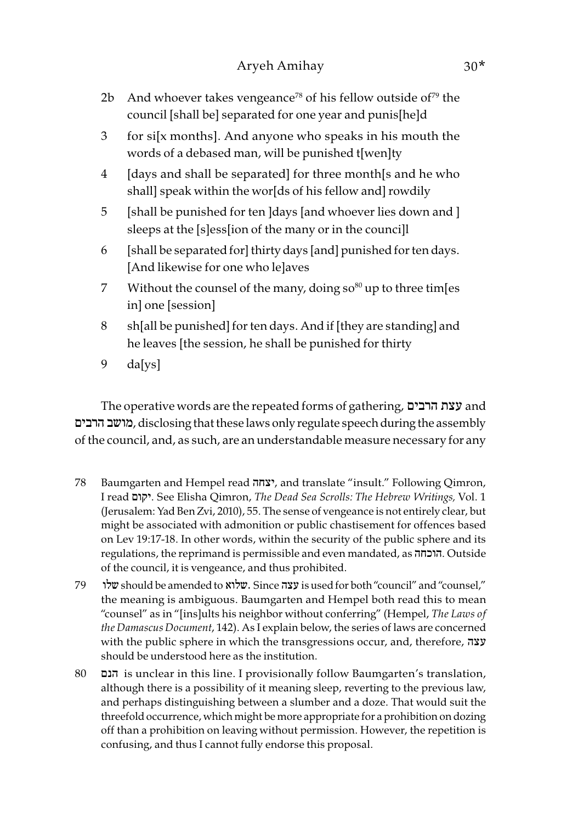- 2b And whoever takes vengeance<sup>78</sup> of his fellow outside of<sup>79</sup> the council [shall be] separated for one year and punis[he]d
- 3 for si[x months]. And anyone who speaks in his mouth the words of a debased man, will be punished t[wen]ty
- 4 [days and shall be separated] for three month[s and he who shall] speak within the wor[ds of his fellow and] rowdily
- 5 [shall be punished for ten ]days [and whoever lies down and ] sleeps at the [s]ess[ion of the many or in the counci]l
- 6 [shall be separated for] thirty days [and] punished for ten days. [And likewise for one who le]aves
- 7 Without the counsel of the many, doing  $\sin^{80}$  up to three tim[es in] one [session]
- 8 sh[all be punished] for ten days. And if [they are standing] and he leaves [the session, he shall be punished for thirty
- 9 da[ys]

The operative words are the repeated forms of gathering, עצת הרבים הרבים מושב, disclosing that these laws only regulate speech during the assembly of the council, and, as such, are an understandable measure necessary for any

- 78 Baumgarten and Hempel read יצחה, and translate "insult." Following Qimron, I read יקום. See Elisha Qimron, The Dead Sea Scrolls: The Hebrew Writings, Vol. 1 (Jerusalem: Yad Ben Zvi, 2010), 55. The sense of vengeance is not entirely clear, but might be associated with admonition or public chastisement for offences based on Lev 19:17-18. In other words, within the security of the public sphere and its regulations, the reprimand is permissible and even mandated, as הוכחה. Outside of the council, it is vengeance, and thus prohibited.
- 79 שלו should be amended to שלוא. Since עצה is used for both "council" and "counsel," the meaning is ambiguous. Baumgarten and Hempel both read this to mean "counsel" as in "[ins]ults his neighbor without conferring" (Hempel, The Laws of the Damascus Document, 142). As I explain below, the series of laws are concerned with the public sphere in which the transgressions occur, and, therefore, עצה should be understood here as the institution.
- 80 הנם is unclear in this line. I provisionally follow Baumgarten's translation, although there is a possibility of it meaning sleep, reverting to the previous law, and perhaps distinguishing between a slumber and a doze. That would suit the threefold occurrence, which might be more appropriate for a prohibition on dozing off than a prohibition on leaving without permission. However, the repetition is confusing, and thus I cannot fully endorse this proposal.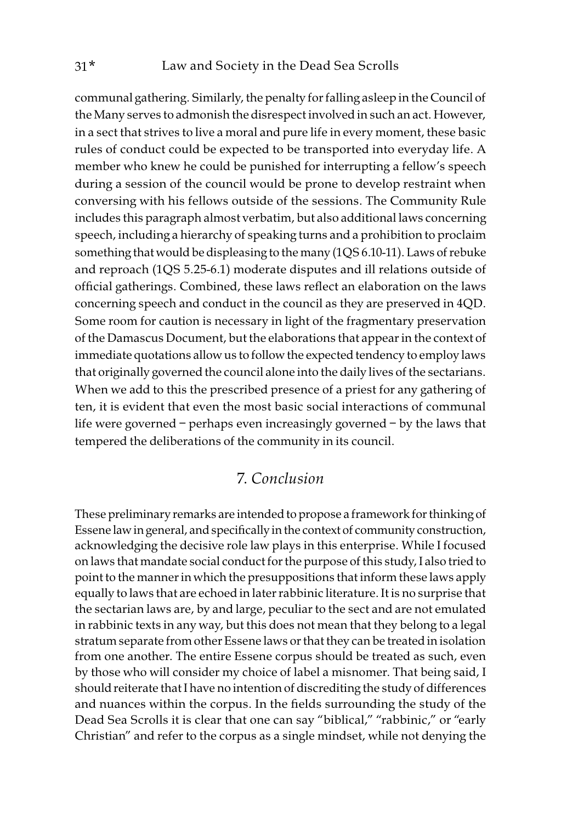communal gathering. Similarly, the penalty for falling asleep in the Council of the Many serves to admonish the disrespect involved in such an act. However, in a sect that strives to live a moral and pure life in every moment, these basic rules of conduct could be expected to be transported into everyday life. A member who knew he could be punished for interrupting a fellow's speech during a session of the council would be prone to develop restraint when conversing with his fellows outside of the sessions. The Community Rule includes this paragraph almost verbatim, but also additional laws concerning speech, including a hierarchy of speaking turns and a prohibition to proclaim something that would be displeasing to the many (1QS 6.10-11). Laws of rebuke and reproach (1QS 5.25-6.1) moderate disputes and ill relations outside of official gatherings. Combined, these laws reflect an elaboration on the laws concerning speech and conduct in the council as they are preserved in 4QD. Some room for caution is necessary in light of the fragmentary preservation of the Damascus Document, but the elaborations that appear in the context of immediate quotations allow us to follow the expected tendency to employ laws that originally governed the council alone into the daily lives of the sectarians. When we add to this the prescribed presence of a priest for any gathering of ten, it is evident that even the most basic social interactions of communal life were governed – perhaps even increasingly governed – by the laws that tempered the deliberations of the community in its council.

### 7. Conclusion

These preliminary remarks are intended to propose a framework for thinking of Essene law in general, and specifically in the context of community construction, acknowledging the decisive role law plays in this enterprise. While I focused on laws that mandate social conduct for the purpose of this study, I also tried to point to the manner in which the presuppositions that inform these laws apply equally to laws that are echoed in later rabbinic literature. It is no surprise that the sectarian laws are, by and large, peculiar to the sect and are not emulated in rabbinic texts in any way, but this does not mean that they belong to a legal stratum separate from other Essene laws or that they can be treated in isolation from one another. The entire Essene corpus should be treated as such, even by those who will consider my choice of label a misnomer. That being said, I should reiterate that I have no intention of discrediting the study of differences and nuances within the corpus. In the fields surrounding the study of the Dead Sea Scrolls it is clear that one can say "biblical," "rabbinic," or "early Christian" and refer to the corpus as a single mindset, while not denying the